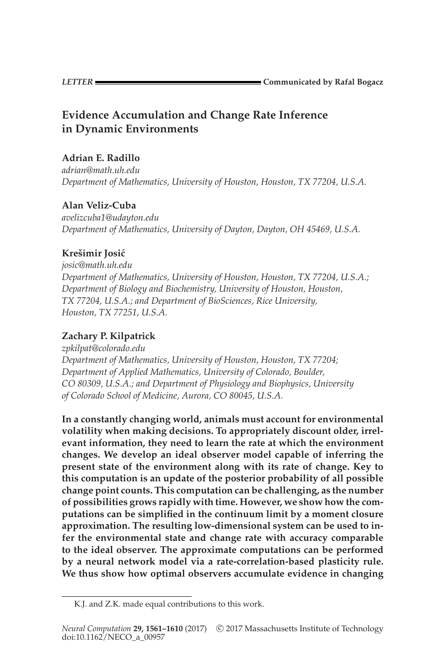# **Evidence Accumulation and Change Rate Inference in Dynamic Environments**

## **Adrian E. Radillo**

*adrian@math.uh.edu Department of Mathematics, University of Houston, Houston, TX 77204, U.S.A.*

### **Alan Veliz-Cuba**

*avelizcuba1@udayton.edu Department of Mathematics, University of Dayton, Dayton, OH 45469, U.S.A.*

### **Krešimir Josić**

*josic@math.uh.edu Department of Mathematics, University of Houston, Houston, TX 77204, U.S.A.; Department of Biology and Biochemistry, University of Houston, Houston, TX 77204, U.S.A.; and Department of BioSciences, Rice University, Houston, TX 77251, U.S.A.*

## **Zachary P. Kilpatrick**

*zpkilpat@colorado.edu Department of Mathematics, University of Houston, Houston, TX 77204; Department of Applied Mathematics, University of Colorado, Boulder,*

*CO 80309, U.S.A.; and Department of Physiology and Biophysics, University of Colorado School of Medicine, Aurora, CO 80045, U.S.A.*

**In a constantly changing world, animals must account for environmental volatility when making decisions. To appropriately discount older, irrelevant information, they need to learn the rate at which the environment changes. We develop an ideal observer model capable of inferring the present state of the environment along with its rate of change. Key to this computation is an update of the posterior probability of all possible change point counts. This computation can be challenging, as the number of possibilities grows rapidly with time. However, we show how the computations can be simplified in the continuum limit by a moment closure approximation. The resulting low-dimensional system can be used to infer the environmental state and change rate with accuracy comparable to the ideal observer. The approximate computations can be performed by a neural network model via a rate-correlation-based plasticity rule. We thus show how optimal observers accumulate evidence in changing**

K.J. and Z.K. made equal contributions to this work.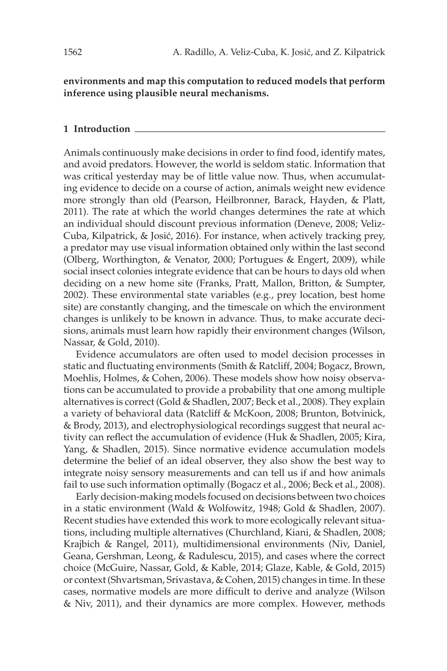**environments and map this computation to reduced models that perform inference using plausible neural mechanisms.**

#### **1 Introduction**

Animals continuously make decisions in order to find food, identify mates, and avoid predators. However, the world is seldom static. Information that was critical yesterday may be of little value now. Thus, when accumulating evidence to decide on a course of action, animals weight new evidence more strongly than old (Pearson, Heilbronner, Barack, Hayden, & Platt, 2011). The rate at which the world changes determines the rate at which an individual should discount previous information (Deneve, 2008; Veliz-Cuba, Kilpatrick, & Josić, 2016). For instance, when actively tracking prey, a predator may use visual information obtained only within the last second (Olberg, Worthington, & Venator, 2000; Portugues & Engert, 2009), while social insect colonies integrate evidence that can be hours to days old when deciding on a new home site (Franks, Pratt, Mallon, Britton, & Sumpter, 2002). These environmental state variables (e.g., prey location, best home site) are constantly changing, and the timescale on which the environment changes is unlikely to be known in advance. Thus, to make accurate decisions, animals must learn how rapidly their environment changes (Wilson, Nassar, & Gold, 2010).

Evidence accumulators are often used to model decision processes in static and fluctuating environments (Smith & Ratcliff, 2004; Bogacz, Brown, Moehlis, Holmes, & Cohen, 2006). These models show how noisy observations can be accumulated to provide a probability that one among multiple alternatives is correct (Gold & Shadlen, 2007; Beck et al., 2008). They explain a variety of behavioral data (Ratcliff & McKoon, 2008; Brunton, Botvinick, & Brody, 2013), and electrophysiological recordings suggest that neural activity can reflect the accumulation of evidence (Huk & Shadlen, 2005; Kira, Yang, & Shadlen, 2015). Since normative evidence accumulation models determine the belief of an ideal observer, they also show the best way to integrate noisy sensory measurements and can tell us if and how animals fail to use such information optimally (Bogacz et al., 2006; Beck et al., 2008).

Early decision-making models focused on decisions between two choices in a static environment (Wald & Wolfowitz, 1948; Gold & Shadlen, 2007). Recent studies have extended this work to more ecologically relevant situations, including multiple alternatives (Churchland, Kiani, & Shadlen, 2008; Krajbich & Rangel, 2011), multidimensional environments (Niv, Daniel, Geana, Gershman, Leong, & Radulescu, 2015), and cases where the correct choice (McGuire, Nassar, Gold, & Kable, 2014; Glaze, Kable, & Gold, 2015) or context (Shvartsman, Srivastava, & Cohen, 2015) changes in time. In these cases, normative models are more difficult to derive and analyze (Wilson & Niv, 2011), and their dynamics are more complex. However, methods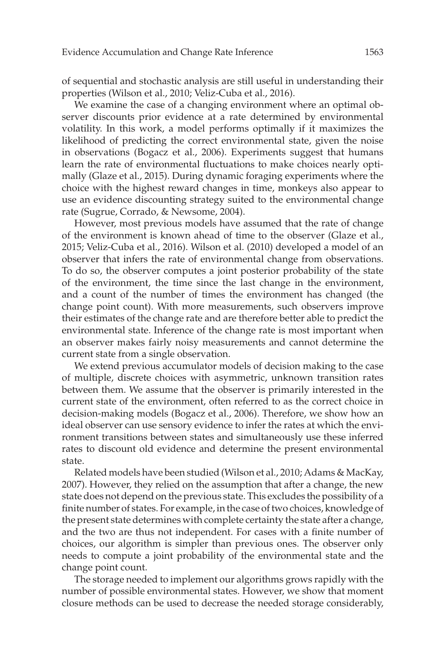of sequential and stochastic analysis are still useful in understanding their properties (Wilson et al., 2010; Veliz-Cuba et al., 2016).

We examine the case of a changing environment where an optimal observer discounts prior evidence at a rate determined by environmental volatility. In this work, a model performs optimally if it maximizes the likelihood of predicting the correct environmental state, given the noise in observations (Bogacz et al., 2006). Experiments suggest that humans learn the rate of environmental fluctuations to make choices nearly optimally (Glaze et al., 2015). During dynamic foraging experiments where the choice with the highest reward changes in time, monkeys also appear to use an evidence discounting strategy suited to the environmental change rate (Sugrue, Corrado, & Newsome, 2004).

However, most previous models have assumed that the rate of change of the environment is known ahead of time to the observer (Glaze et al., 2015; Veliz-Cuba et al., 2016). Wilson et al. (2010) developed a model of an observer that infers the rate of environmental change from observations. To do so, the observer computes a joint posterior probability of the state of the environment, the time since the last change in the environment, and a count of the number of times the environment has changed (the change point count). With more measurements, such observers improve their estimates of the change rate and are therefore better able to predict the environmental state. Inference of the change rate is most important when an observer makes fairly noisy measurements and cannot determine the current state from a single observation.

We extend previous accumulator models of decision making to the case of multiple, discrete choices with asymmetric, unknown transition rates between them. We assume that the observer is primarily interested in the current state of the environment, often referred to as the correct choice in decision-making models (Bogacz et al., 2006). Therefore, we show how an ideal observer can use sensory evidence to infer the rates at which the environment transitions between states and simultaneously use these inferred rates to discount old evidence and determine the present environmental state.

Related models have been studied (Wilson et al., 2010; Adams & MacKay, 2007). However, they relied on the assumption that after a change, the new state does not depend on the previous state. This excludes the possibility of a finite number of states. For example, in the case of two choices, knowledge of the present state determines with complete certainty the state after a change, and the two are thus not independent. For cases with a finite number of choices, our algorithm is simpler than previous ones. The observer only needs to compute a joint probability of the environmental state and the change point count.

The storage needed to implement our algorithms grows rapidly with the number of possible environmental states. However, we show that moment closure methods can be used to decrease the needed storage considerably,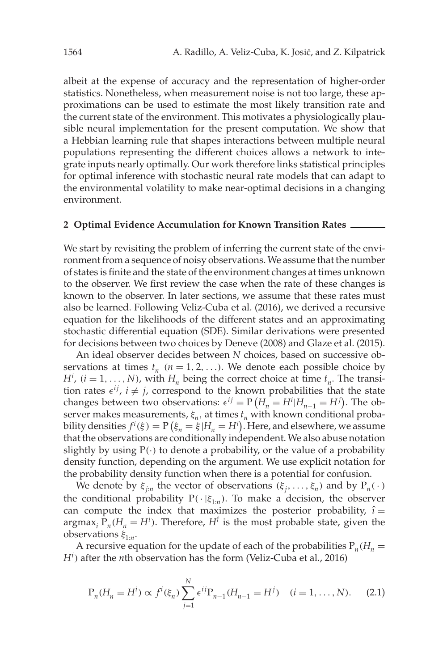albeit at the expense of accuracy and the representation of higher-order statistics. Nonetheless, when measurement noise is not too large, these approximations can be used to estimate the most likely transition rate and the current state of the environment. This motivates a physiologically plausible neural implementation for the present computation. We show that a Hebbian learning rule that shapes interactions between multiple neural populations representing the different choices allows a network to integrate inputs nearly optimally. Our work therefore links statistical principles for optimal inference with stochastic neural rate models that can adapt to the environmental volatility to make near-optimal decisions in a changing environment.

#### **2 Optimal Evidence Accumulation for Known Transition Rates**

We start by revisiting the problem of inferring the current state of the environment from a sequence of noisy observations. We assume that the number of states is finite and the state of the environment changes at times unknown to the observer. We first review the case when the rate of these changes is known to the observer. In later sections, we assume that these rates must also be learned. Following Veliz-Cuba et al. (2016), we derived a recursive equation for the likelihoods of the different states and an approximating stochastic differential equation (SDE). Similar derivations were presented for decisions between two choices by Deneve (2008) and Glaze et al. (2015).

An ideal observer decides between *N* choices, based on successive observations at times  $t_n$  ( $n = 1, 2, ...$ ). We denote each possible choice by  $H^i$ ,  $(i = 1, ..., N)$ , with  $H_n$  being the correct choice at time  $t_n$ . The transition rates  $\epsilon^{ij}$ ,  $i \neq j$ , correspond to the known probabilities that the state changes between two observations:  $\epsilon^{ij} = P(H_n = H^i | H_{n-1} = H^j)$ . The observer makes measurements,  $\xi_n$ , at times  $t_n$  with known conditional probability densities  $f^i(\xi) = P(\xi_n = \xi | H_n = H^i)$ . Here, and elsewhere, we assume that the observations are conditionally independent. We also abuse notation slightly by using  $P(\cdot)$  to denote a probability, or the value of a probability density function, depending on the argument. We use explicit notation for the probability density function when there is a potential for confusion.

We denote by  $\xi_{j:n}$  the vector of observations  $(\xi_j, \ldots, \xi_n)$  and by  $P_n(\cdot)$ the conditional probability  $P(\cdot|\xi_{1:n})$ . To make a decision, the observer can compute the index that maximizes the posterior probability,  $\hat{i}$  = argmax<sub>*i*</sub>  $\overline{P}_n(H_n = H^i)$ . Therefore,  $H^i$  is the most probable state, given the observations ξ1:*<sup>n</sup>*.

A recursive equation for the update of each of the probabilities  $P_n(H_n =$ *Hi* ) after the *n*th observation has the form (Veliz-Cuba et al., 2016)

$$
P_n(H_n = H^i) \propto f^i(\xi_n) \sum_{j=1}^N \epsilon^{ij} P_{n-1}(H_{n-1} = H^j) \quad (i = 1, ..., N). \tag{2.1}
$$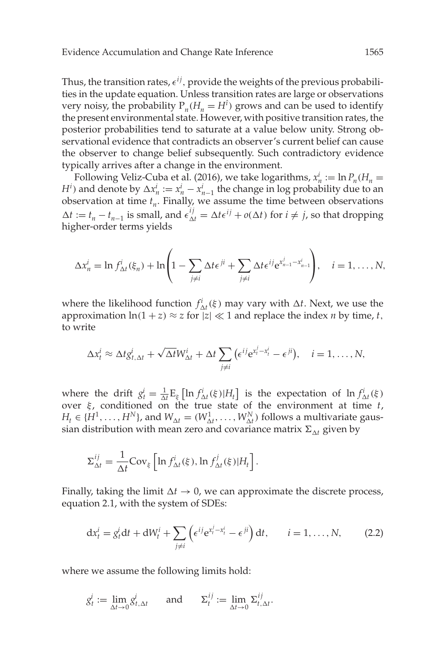Thus, the transition rates,  $\epsilon^{ij}$ , provide the weights of the previous probabilities in the update equation. Unless transition rates are large or observations very noisy, the probability  $P_n(H_n = H^{\hat{i}})$  grows and can be used to identify the present environmental state. However, with positive transition rates, the posterior probabilities tend to saturate at a value below unity. Strong observational evidence that contradicts an observer's current belief can cause the observer to change belief subsequently. Such contradictory evidence typically arrives after a change in the environment.

Following Veliz-Cuba et al. (2016), we take logarithms,  $x_n^i := \ln P_n(H_n =$ *H*<sup>*i*</sup>) and denote by  $\Delta x_n^i := x_n^i - x_{n-1}^i$  the change in log probability due to an observation at time  $t_n$ . Finally, we assume the time between observations *Δt* := *t<sub>n</sub>* − *t<sub>n−1</sub>* is small, and  $\epsilon_{\Delta t}^{ij} = \Delta t \epsilon^{ij} + o(\Delta t)$  for *i* ≠ *j*, so that dropping higher-order terms yields

$$
\Delta x_n^i = \ln f_{\Delta t}^i(\xi_n) + \ln \left(1 - \sum_{j \neq i} \Delta t \epsilon^{ji} + \sum_{j \neq i} \Delta t \epsilon^{ij} e^{x_{n-1}^i - x_{n-1}^i} \right), \quad i = 1, \dots, N,
$$

where the likelihood function  $f^i_{\Delta t}(\xi)$  may vary with  $\Delta t$ . Next, we use the approximation  $ln(1 + z) \approx z$  for  $|z| \ll 1$  and replace the index *n* by time, *t*, to write

$$
\Delta x_t^i \approx \Delta t g_{t,\Delta t}^i + \sqrt{\Delta t} W_{\Delta t}^i + \Delta t \sum_{j \neq i} (\epsilon^{ij} e^{x_t^j - x_t^i} - \epsilon^{ji}), \quad i = 1, \ldots, N,
$$

where the drift  $g_t^i = \frac{1}{\Delta t} E_{\xi} [\ln f_{\Delta t}^i(\xi)|H_t]$  is the expectation of  $\ln f_{\Delta t}^i(\xi)$ over ξ , conditioned on the true state of the environment at time *t*,  $H_t \in \{H^1, \ldots, H^N\}$ , and  $W_{\Delta t} = (W_{\Delta t}^1, \ldots, W_{\Delta t}^N)$  follows a multivariate gaussian distribution with mean zero and covariance matrix  $\Sigma_{\Delta t}$  given by

$$
\Sigma_{\Delta t}^{ij} = \frac{1}{\Delta t} \text{Cov}_{\xi} \left[ \ln f_{\Delta t}^{i}(\xi), \ln f_{\Delta t}^{j}(\xi) | H_{t} \right].
$$

Finally, taking the limit  $\Delta t \rightarrow 0$ , we can approximate the discrete process, equation 2.1, with the system of SDEs:

$$
dx_t^i = g_t^i dt + dW_t^i + \sum_{j \neq i} \left( \epsilon^{ij} e^{x_t^j - x_t^i} - \epsilon^{ji} \right) dt, \qquad i = 1, \dots, N,
$$
 (2.2)

where we assume the following limits hold:

$$
g_t^i := \lim_{\Delta t \to 0} g_{t,\Delta t}^i \quad \text{and} \quad \Sigma_t^{ij} := \lim_{\Delta t \to 0} \Sigma_{t,\Delta t}^{ij}.
$$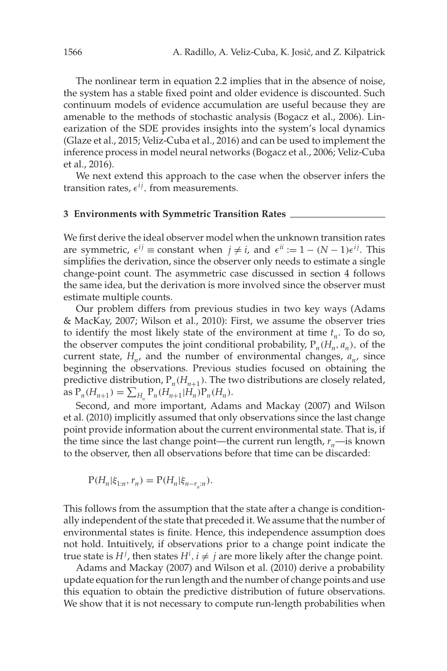The nonlinear term in equation 2.2 implies that in the absence of noise, the system has a stable fixed point and older evidence is discounted. Such continuum models of evidence accumulation are useful because they are amenable to the methods of stochastic analysis (Bogacz et al., 2006). Linearization of the SDE provides insights into the system's local dynamics (Glaze et al., 2015; Veliz-Cuba et al., 2016) and can be used to implement the inference process in model neural networks (Bogacz et al., 2006; Veliz-Cuba et al., 2016).

We next extend this approach to the case when the observer infers the transition rates,  $\epsilon^{ij}$ , from measurements.

#### **3 Environments with Symmetric Transition Rates**

We first derive the ideal observer model when the unknown transition rates are symmetric,  $\epsilon^{ij} \equiv$  constant when  $j \neq i$ , and  $\epsilon^{ii} := 1 - (N - 1)\epsilon^{ij}$ . This simplifies the derivation, since the observer only needs to estimate a single change-point count. The asymmetric case discussed in section 4 follows the same idea, but the derivation is more involved since the observer must estimate multiple counts.

Our problem differs from previous studies in two key ways (Adams & MacKay, 2007; Wilson et al., 2010): First, we assume the observer tries to identify the most likely state of the environment at time  $t_n$ . To do so, the observer computes the joint conditional probability,  $P_n(H_n, a_n)$ , of the current state,  $H_n$ , and the number of environmental changes,  $a_n$ , since beginning the observations. Previous studies focused on obtaining the predictive distribution,  $P_n(H_{n+1})$ . The two distributions are closely related, as  $P_n(H_{n+1}) = \sum_{H_n} P_n(H_{n+1}|H_n)P_n(H_n)$ .

Second, and more important, Adams and Mackay (2007) and Wilson et al. (2010) implicitly assumed that only observations since the last change point provide information about the current environmental state. That is, if the time since the last change point—the current run length,  $r_n$ —is known to the observer, then all observations before that time can be discarded:

$$
P(H_n|\xi_{1:n}, r_n) = P(H_n|\xi_{n-r_n:n}).
$$

This follows from the assumption that the state after a change is conditionally independent of the state that preceded it. We assume that the number of environmental states is finite. Hence, this independence assumption does not hold. Intuitively, if observations prior to a change point indicate the true state is  $H^j$ , then states  $H^i$ ,  $i \neq j$  are more likely after the change point.

Adams and Mackay (2007) and Wilson et al. (2010) derive a probability update equation for the run length and the number of change points and use this equation to obtain the predictive distribution of future observations. We show that it is not necessary to compute run-length probabilities when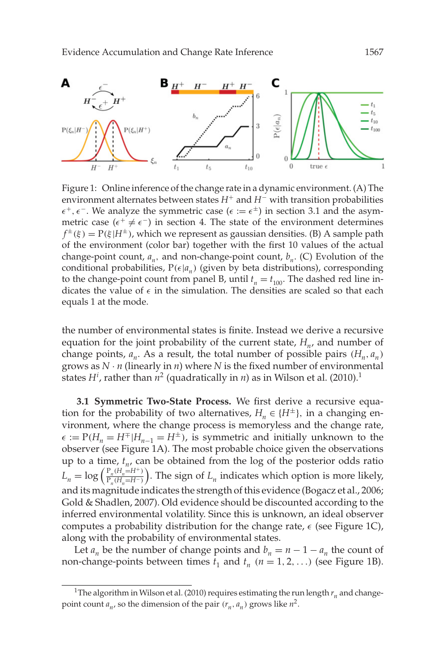

Figure 1: Online inference of the change rate in a dynamic environment. (A) The environment alternates between states *H*<sup>+</sup> and *H*<sup>−</sup> with transition probabilities  $\epsilon^+$ ,  $\epsilon^-$ . We analyze the symmetric case ( $\epsilon := \epsilon^{\pm}$ ) in section 3.1 and the asymmetric case ( $\epsilon^+ \neq \epsilon^-$ ) in section 4. The state of the environment determines  $f^{\pm}(\xi) = P(\xi | H^{\pm})$ , which we represent as gaussian densities. (B) A sample path of the environment (color bar) together with the first 10 values of the actual change-point count,  $a_n$ , and non-change-point count,  $b_n$ . (C) Evolution of the conditional probabilities,  $P(\epsilon | a_n)$  (given by beta distributions), corresponding to the change-point count from panel B, until  $t_n = t_{100}$ . The dashed red line indicates the value of  $\epsilon$  in the simulation. The densities are scaled so that each equals 1 at the mode.

the number of environmental states is finite. Instead we derive a recursive equation for the joint probability of the current state, H<sub>n</sub>, and number of change points,  $a_n$ . As a result, the total number of possible pairs  $(H_n, a_n)$ grows as  $N \cdot n$  (linearly in  $n$ ) where  $N$  is the fixed number of environmental states  $H^i$ , rather than  $n^2$  (quadratically in  $n$ ) as in Wilson et al. (2010).<sup>1</sup>

**3.1 Symmetric Two-State Process.** We first derive a recursive equation for the probability of two alternatives,  $H_n \in \{H^{\pm}\}\$ , in a changing environment, where the change process is memoryless and the change rate,  $\epsilon := P(H_n = H^{\pm}|H_{n-1} = H^{\pm})$ , is symmetric and initially unknown to the observer (see Figure 1A). The most probable choice given the observations up to a time,  $t_n$ , can be obtained from the log of the posterior odds ratio  $L_n = \log \left( \frac{P_n(H_n = H^+)}{P_n(H_n = H^-)} \right)$ ). The sign of  $L_n$  indicates which option is more likely, and its magnitude indicates the strength of this evidence (Bogacz et al., 2006; Gold & Shadlen, 2007). Old evidence should be discounted according to the inferred environmental volatility. Since this is unknown, an ideal observer computes a probability distribution for the change rate,  $\epsilon$  (see Figure 1C), along with the probability of environmental states.

Let  $a_n$  be the number of change points and  $b_n = n - 1 - a_n$  the count of non-change-points between times  $t_1$  and  $t_n$  ( $n = 1, 2, ...$ ) (see Figure 1B).

<sup>&</sup>lt;sup>1</sup>The algorithm in Wilson et al. (2010) requires estimating the run length  $r<sub>n</sub>$  and changepoint count  $a_n$ , so the dimension of the pair  $(r_n, a_n)$  grows like  $n^2$ .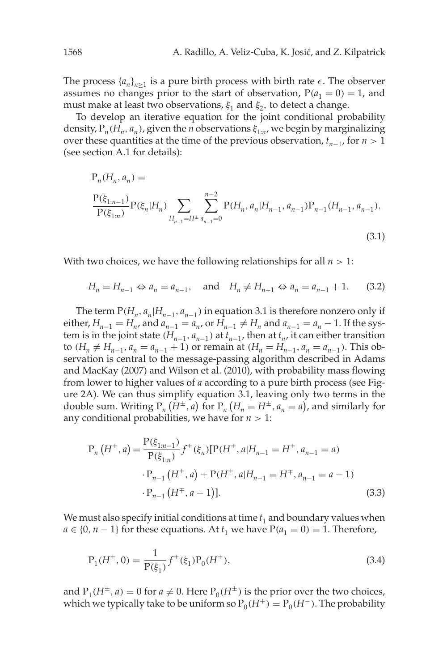The process  $\{a_n\}_{n\geq 1}$  is a pure birth process with birth rate  $\epsilon$ . The observer assumes no changes prior to the start of observation,  $P(a_1 = 0) = 1$ , and must make at least two observations,  $\xi_1$  and  $\xi_2$ , to detect a change.

To develop an iterative equation for the joint conditional probability density,  $P_n(H_n, a_n)$ , given the *n* observations  $\xi_{1:n}$ , we begin by marginalizing over these quantities at the time of the previous observation,  $t_{n-1}$ , for  $n > 1$ (see section A.1 for details):

$$
P_n(H_n, a_n) =
$$
  
\n
$$
\frac{P(\xi_{1:n-1})}{P(\xi_{1:n})} P(\xi_n | H_n) \sum_{H_{n-1} = H^{\pm}} \sum_{a_{n-1} = 0}^{n-2} P(H_n, a_n | H_{n-1}, a_{n-1}) P_{n-1}(H_{n-1}, a_{n-1}).
$$
  
\n(3.1)

With two choices, we have the following relationships for all  $n > 1$ :

$$
H_n = H_{n-1} \Leftrightarrow a_n = a_{n-1}, \text{ and } H_n \neq H_{n-1} \Leftrightarrow a_n = a_{n-1} + 1. \tag{3.2}
$$

The term  $P(H_n, a_n|H_{n-1}, a_{n-1})$  in equation 3.1 is therefore nonzero only if either,  $H_{n-1} = H_n$ , and  $a_{n-1} = a_n$ , or  $H_{n-1} ≠ H_n$  and  $a_{n-1} = a_n - 1$ . If the system is in the joint state ( $H_{n-1}$ ,  $a_{n-1}$ ) at  $t_{n-1}$ , then at  $t_n$ , it can either transition to  $(H_n \neq H_{n-1}, a_n = a_{n-1} + 1)$  or remain at  $(H_n = H_{n-1}, a_n = a_{n-1})$ . This observation is central to the message-passing algorithm described in Adams and MacKay (2007) and Wilson et al. (2010), with probability mass flowing from lower to higher values of *a* according to a pure birth process (see Figure 2A). We can thus simplify equation 3.1, leaving only two terms in the double sum. Writing  $P_n(H^{\pm}, a)$  for  $P_n(H_n = H^{\pm}, a_n = a)$ , and similarly for any conditional probabilities, we have for  $n > 1$ :

$$
P_n(H^{\pm}, a) = \frac{P(\xi_{1:n-1})}{P(\xi_{1:n})} f^{\pm}(\xi_n) [P(H^{\pm}, a | H_{n-1} = H^{\pm}, a_{n-1} = a)
$$
  

$$
\cdot P_{n-1}(H^{\pm}, a) + P(H^{\pm}, a | H_{n-1} = H^{\mp}, a_{n-1} = a - 1)
$$
  

$$
\cdot P_{n-1}(H^{\mp}, a - 1)].
$$
 (3.3)

We must also specify initial conditions at time  $t_1$  and boundary values when *a* ∈ {0, *n* − 1} for these equations. At *t*<sub>1</sub> we have  $P(a_1 = 0) = 1$ . Therefore,

$$
P_1(H^{\pm}, 0) = \frac{1}{P(\xi_1)} f^{\pm}(\xi_1) P_0(H^{\pm}),
$$
\n(3.4)

and  $P_1(H^{\pm}, a) = 0$  for  $a \neq 0$ . Here  $P_0(H^{\pm})$  is the prior over the two choices, which we typically take to be uniform so  $P_0(H^+) = P_0(H^-)$ . The probability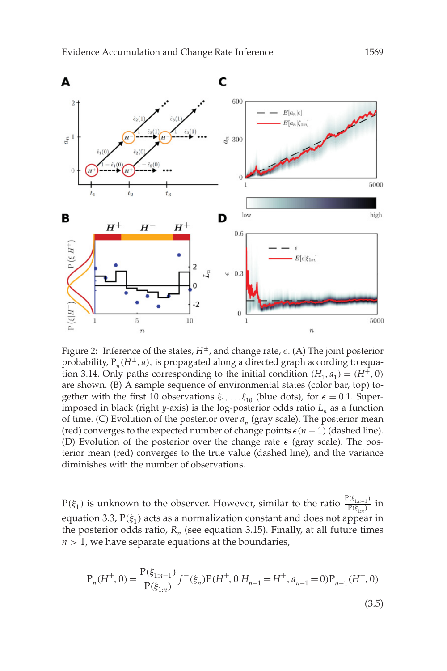

Figure 2: Inference of the states,  $H^{\pm}$ , and change rate,  $\epsilon$ . (A) The joint posterior probability,  $P_n(H^{\pm}, a)$ , is propagated along a directed graph according to equation 3.14. Only paths corresponding to the initial condition  $(H_1, a_1) = (H^+, 0)$ are shown. (B) A sample sequence of environmental states (color bar, top) together with the first 10 observations  $\xi_1, \ldots, \xi_{10}$  (blue dots), for  $\epsilon = 0.1$ . Superimposed in black (right *y*-axis) is the log-posterior odds ratio  $L_n$  as a function of time. (C) Evolution of the posterior over *an* (gray scale). The posterior mean (red) converges to the expected number of change points  $\epsilon$  ( $n - 1$ ) (dashed line). (D) Evolution of the posterior over the change rate  $\epsilon$  (gray scale). The posterior mean (red) converges to the true value (dashed line), and the variance diminishes with the number of observations.

 $P(\xi_1)$  is unknown to the observer. However, similar to the ratio  $\frac{P(\xi_{1:n-1})}{P(\xi_{1:n})}$  in equation 3.3,  $P(\xi_1)$  acts as a normalization constant and does not appear in the posterior odds ratio,  $R_n$  (see equation 3.15). Finally, at all future times  $n > 1$ , we have separate equations at the boundaries,

$$
P_n(H^{\pm}, 0) = \frac{P(\xi_{1:n-1})}{P(\xi_{1:n})} f^{\pm}(\xi_n) P(H^{\pm}, 0 | H_{n-1} = H^{\pm}, a_{n-1} = 0) P_{n-1}(H^{\pm}, 0)
$$
\n(3.5)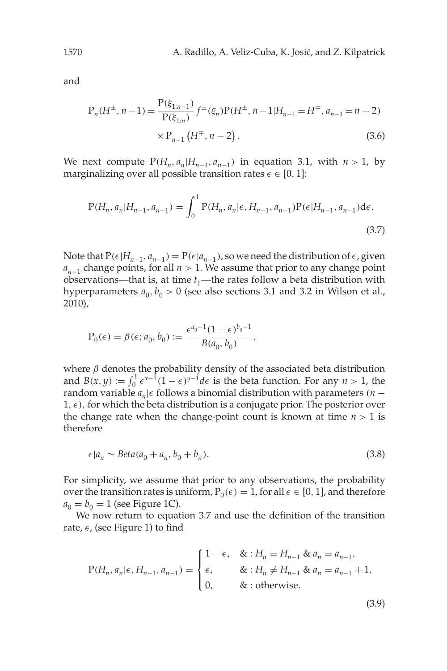and

$$
P_n(H^{\pm}, n-1) = \frac{P(\xi_{1:n-1})}{P(\xi_{1:n})} f^{\pm}(\xi_n) P(H^{\pm}, n-1 | H_{n-1} = H^{\mp}, a_{n-1} = n-2)
$$
  
× P<sub>n-1</sub> (H<sup>+</sup>, n-2). (3.6)

We next compute  $P(H_n, a_n|H_{n-1}, a_{n-1})$  in equation 3.1, with  $n > 1$ , by marginalizing over all possible transition rates  $\epsilon \in [0, 1]$ :

$$
P(H_n, a_n | H_{n-1}, a_{n-1}) = \int_0^1 P(H_n, a_n | \epsilon, H_{n-1}, a_{n-1}) P(\epsilon | H_{n-1}, a_{n-1}) d\epsilon.
$$
\n(3.7)

Note that  $P(\epsilon | H_{n-1}, a_{n-1}) = P(\epsilon | a_{n-1})$ , so we need the distribution of  $\epsilon$ , given *a*<sub>*n*−1</sub> change points, for all *n* > 1. We assume that prior to any change point observations—that is, at time  $t_1$ —the rates follow a beta distribution with hyperparameters  $a_0$ ,  $b_0 > 0$  (see also sections 3.1 and 3.2 in Wilson et al., 2010),

$$
P_0(\epsilon) = \beta(\epsilon; a_0, b_0) := \frac{\epsilon^{a_0 - 1} (1 - \epsilon)^{b_0 - 1}}{B(a_0, b_0)},
$$

where  $\beta$  denotes the probability density of the associated beta distribution and  $B(x, y) := \int_0^1 e^{x-1}(1-e)^{y-1}d\epsilon$  is the beta function. For any  $n > 1$ , the random variable  $a_n | \epsilon$  follows a binomial distribution with parameters (*n* −  $1, \epsilon$ ), for which the beta distribution is a conjugate prior. The posterior over the change rate when the change-point count is known at time  $n > 1$  is therefore

$$
\epsilon | a_n \sim Beta(a_0 + a_n, b_0 + b_n). \tag{3.8}
$$

For simplicity, we assume that prior to any observations, the probability over the transition rates is uniform,  $P_0(\epsilon) = 1$ , for all  $\epsilon \in [0, 1]$ , and therefore  $a_0 = b_0 = 1$  (see Figure 1C).

We now return to equation 3.7 and use the definition of the transition rate,  $\epsilon$ , (see Figure 1) to find

$$
P(H_n, a_n | \epsilon, H_{n-1}, a_{n-1}) = \begin{cases} 1 - \epsilon, & \& H_n = H_{n-1} \& a_n = a_{n-1}, \\ \epsilon, & \& H_n \neq H_{n-1} \& a_n = a_{n-1} + 1, \\ 0, & \& \text{: otherwise.} \end{cases}
$$
(3.9)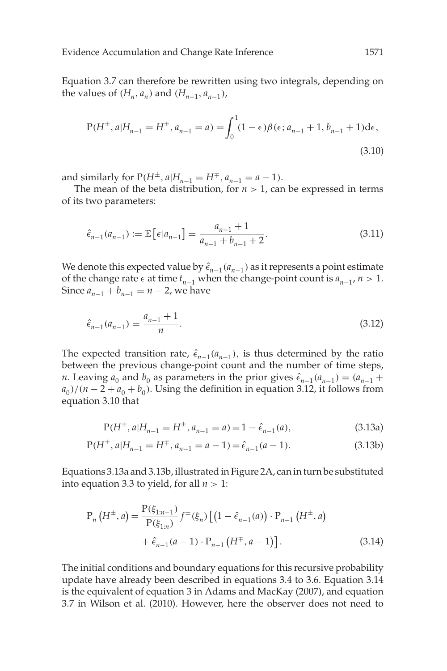Equation 3.7 can therefore be rewritten using two integrals, depending on the values of  $(H_n, a_n)$  and  $(H_{n-1}, a_{n-1})$ ,

$$
P(H^{\pm}, a|H_{n-1} = H^{\pm}, a_{n-1} = a) = \int_0^1 (1 - \epsilon) \beta(\epsilon; a_{n-1} + 1, b_{n-1} + 1) d\epsilon,
$$
\n(3.10)

and similarly for  $P(H^{\pm}, a|H_{n-1} = H^{\mp}, a_{n-1} = a - 1)$ .

The mean of the beta distribution, for  $n > 1$ , can be expressed in terms of its two parameters:

$$
\hat{\epsilon}_{n-1}(a_{n-1}) := \mathbb{E}\left[\epsilon | a_{n-1}\right] = \frac{a_{n-1} + 1}{a_{n-1} + b_{n-1} + 2}.\tag{3.11}
$$

We denote this expected value by  $\hat{\epsilon}_{n-1}(a_{n-1})$  as it represents a point estimate of the change rate  $\epsilon$  at time  $t_{n-1}$  when the change-point count is  $a_{n-1}$ ,  $n > 1$ . Since  $a_{n-1} + b_{n-1} = n - 2$ , we have

$$
\hat{\epsilon}_{n-1}(a_{n-1}) = \frac{a_{n-1} + 1}{n}.\tag{3.12}
$$

The expected transition rate,  $\hat{\epsilon}_{n-1}(a_{n-1})$ , is thus determined by the ratio between the previous change-point count and the number of time steps, *n*. Leaving  $a_0$  and  $b_0$  as parameters in the prior gives  $\hat{\epsilon}_{n-1}(a_{n-1}) = (a_{n-1} + a_n)$  $a_0$  )/( $n-2 + a_0 + b_0$ ). Using the definition in equation 3.12, it follows from equation 3.10 that

$$
P(H^{\pm}, a|H_{n-1} = H^{\pm}, a_{n-1} = a) = 1 - \hat{\epsilon}_{n-1}(a),
$$
\n(3.13a)

$$
P(H^{\pm}, a|H_{n-1} = H^{\mp}, a_{n-1} = a - 1) = \hat{\epsilon}_{n-1}(a - 1).
$$
 (3.13b)

Equations 3.13a and 3.13b, illustrated in Figure 2A, can in turn be substituted into equation 3.3 to yield, for all  $n > 1$ :

$$
P_n(H^{\pm}, a) = \frac{P(\xi_{1:n-1})}{P(\xi_{1:n})} f^{\pm}(\xi_n) \left[ \left( 1 - \hat{\epsilon}_{n-1}(a) \right) \cdot P_{n-1} \left( H^{\pm}, a \right) \right. \\ \left. + \hat{\epsilon}_{n-1}(a-1) \cdot P_{n-1} \left( H^{\mp}, a-1 \right) \right]. \tag{3.14}
$$

The initial conditions and boundary equations for this recursive probability update have already been described in equations 3.4 to 3.6. Equation 3.14 is the equivalent of equation 3 in Adams and MacKay (2007), and equation 3.7 in Wilson et al. (2010). However, here the observer does not need to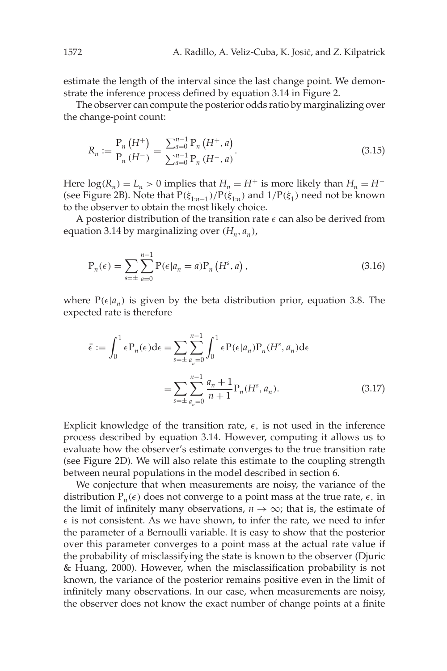estimate the length of the interval since the last change point. We demonstrate the inference process defined by equation 3.14 in Figure 2.

The observer can compute the posterior odds ratio by marginalizing over the change-point count:

$$
R_n := \frac{P_n(H^+)}{P_n(H^-)} = \frac{\sum_{a=0}^{n-1} P_n(H^+, a)}{\sum_{a=0}^{n-1} P_n(H^-, a)}.
$$
\n(3.15)

Here  $log(R_n) = L_n > 0$  implies that  $H_n = H^+$  is more likely than  $H_n = H^-$ (see Figure 2B). Note that  $P(\xi_{1:n-1})/P(\xi_{1:n})$  and  $1/P(\xi_1)$  need not be known to the observer to obtain the most likely choice.

A posterior distribution of the transition rate  $\epsilon$  can also be derived from equation 3.14 by marginalizing over  $(H_n, a_n)$ ,

$$
P_n(\epsilon) = \sum_{s=\pm} \sum_{a=0}^{n-1} P(\epsilon | a_n = a) P_n(H^s, a), \qquad (3.16)
$$

where  $P(\epsilon | a_n)$  is given by the beta distribution prior, equation 3.8. The expected rate is therefore

$$
\bar{\epsilon} := \int_0^1 \epsilon P_n(\epsilon) d\epsilon = \sum_{s=\pm} \sum_{a_n=0}^{n-1} \int_0^1 \epsilon P(\epsilon | a_n) P_n(H^s, a_n) d\epsilon
$$

$$
= \sum_{s=\pm} \sum_{a_n=0}^{n-1} \frac{a_n+1}{n+1} P_n(H^s, a_n).
$$
(3.17)

Explicit knowledge of the transition rate,  $\epsilon$ , is not used in the inference process described by equation 3.14. However, computing it allows us to evaluate how the observer's estimate converges to the true transition rate (see Figure 2D). We will also relate this estimate to the coupling strength between neural populations in the model described in section 6.

We conjecture that when measurements are noisy, the variance of the distribution  $P_n(\epsilon)$  does not converge to a point mass at the true rate,  $\epsilon$ , in the limit of infinitely many observations,  $n \rightarrow \infty$ ; that is, the estimate of  $\epsilon$  is not consistent. As we have shown, to infer the rate, we need to infer the parameter of a Bernoulli variable. It is easy to show that the posterior over this parameter converges to a point mass at the actual rate value if the probability of misclassifying the state is known to the observer (Djuric & Huang, 2000). However, when the misclassification probability is not known, the variance of the posterior remains positive even in the limit of infinitely many observations. In our case, when measurements are noisy, the observer does not know the exact number of change points at a finite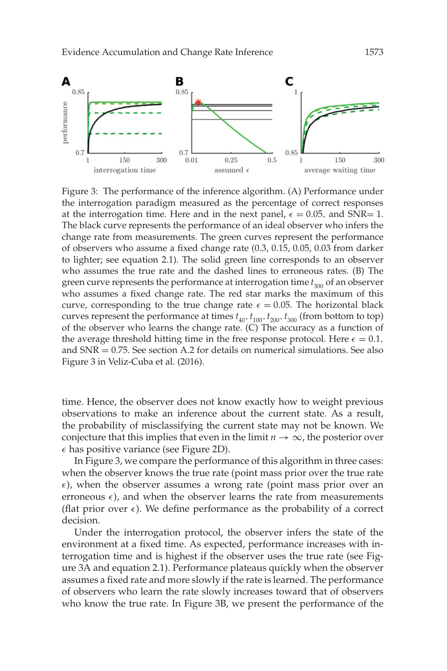

Figure 3: The performance of the inference algorithm. (A) Performance under the interrogation paradigm measured as the percentage of correct responses at the interrogation time. Here and in the next panel,  $\epsilon = 0.05$ , and SNR= 1. The black curve represents the performance of an ideal observer who infers the change rate from measurements. The green curves represent the performance of observers who assume a fixed change rate (0.3, 0.15, 0.05, 0.03 from darker to lighter; see equation 2.1). The solid green line corresponds to an observer who assumes the true rate and the dashed lines to erroneous rates. (B) The green curve represents the performance at interrogation time  $t_{300}$  of an observer who assumes a fixed change rate. The red star marks the maximum of this curve, corresponding to the true change rate  $\epsilon = 0.05$ . The horizontal black curves represent the performance at times  $t_{40}$ ,  $t_{100}$ ,  $t_{200}$ ,  $t_{300}$  (from bottom to top) of the observer who learns the change rate. (C) The accuracy as a function of the average threshold hitting time in the free response protocol. Here  $\epsilon = 0.1$ , and  $SNR = 0.75$ . See section A.2 for details on numerical simulations. See also Figure 3 in Veliz-Cuba et al. (2016).

time. Hence, the observer does not know exactly how to weight previous observations to make an inference about the current state. As a result, the probability of misclassifying the current state may not be known. We conjecture that this implies that even in the limit  $n \to \infty$ , the posterior over  $\epsilon$  has positive variance (see Figure 2D).

In Figure 3, we compare the performance of this algorithm in three cases: when the observer knows the true rate (point mass prior over the true rate  $\epsilon$ ), when the observer assumes a wrong rate (point mass prior over an erroneous  $\epsilon$ ), and when the observer learns the rate from measurements (flat prior over  $\epsilon$ ). We define performance as the probability of a correct decision.

Under the interrogation protocol, the observer infers the state of the environment at a fixed time. As expected, performance increases with interrogation time and is highest if the observer uses the true rate (see Figure 3A and equation 2.1). Performance plateaus quickly when the observer assumes a fixed rate and more slowly if the rate is learned. The performance of observers who learn the rate slowly increases toward that of observers who know the true rate. In Figure 3B, we present the performance of the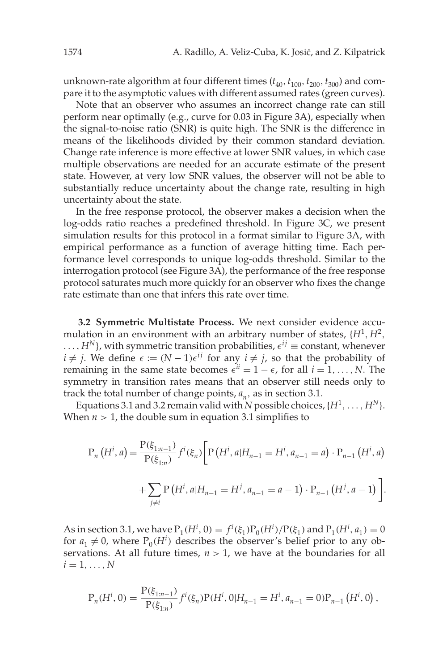unknown-rate algorithm at four different times  $(t_{40}, t_{100}, t_{200}, t_{300})$  and compare it to the asymptotic values with different assumed rates (green curves).

Note that an observer who assumes an incorrect change rate can still perform near optimally (e.g., curve for 0.03 in Figure 3A), especially when the signal-to-noise ratio (SNR) is quite high. The SNR is the difference in means of the likelihoods divided by their common standard deviation. Change rate inference is more effective at lower SNR values, in which case multiple observations are needed for an accurate estimate of the present state. However, at very low SNR values, the observer will not be able to substantially reduce uncertainty about the change rate, resulting in high uncertainty about the state.

In the free response protocol, the observer makes a decision when the log-odds ratio reaches a predefined threshold. In Figure 3C, we present simulation results for this protocol in a format similar to Figure 3A, with empirical performance as a function of average hitting time. Each performance level corresponds to unique log-odds threshold. Similar to the interrogation protocol (see Figure 3A), the performance of the free response protocol saturates much more quickly for an observer who fixes the change rate estimate than one that infers this rate over time.

**3.2 Symmetric Multistate Process.** We next consider evidence accumulation in an environment with an arbitrary number of states,  $\{H^1, H^2,$  $\dots$ ,  $H^N$ , with symmetric transition probabilities,  $\epsilon^{ij} \equiv$  constant, whenever *i* ≠ *j*. We define  $\epsilon := (N-1)\epsilon^{ij}$  for any *i* ≠ *j*, so that the probability of remaining in the same state becomes  $\epsilon^{ii} = 1 - \epsilon$ , for all  $i = 1, ..., N$ . The symmetry in transition rates means that an observer still needs only to track the total number of change points,  $a_n$ , as in section 3.1.

Equations 3.1 and 3.2 remain valid with *N* possible choices,  $\{H^1, \ldots, H^N\}$ . When  $n > 1$ , the double sum in equation 3.1 simplifies to

$$
P_n(H^i, a) = \frac{P(\xi_{1:n-1})}{P(\xi_{1:n})} f^i(\xi_n) \Big[ P(H^i, a | H_{n-1} = H^i, a_{n-1} = a) \cdot P_{n-1}(H^i, a) + \sum_{j \neq i} P(H^i, a | H_{n-1} = H^j, a_{n-1} = a - 1) \cdot P_{n-1}(H^j, a - 1) \Big].
$$

As in section 3.1, we have  $P_1(H^i, 0) = f^i(\xi_1)P_0(H^i)/P(\xi_1)$  and  $P_1(H^i, a_1) = 0$ for  $a_1 \neq 0$ , where  $P_0(H^i)$  describes the observer's belief prior to any observations. At all future times,  $n > 1$ , we have at the boundaries for all  $i=1,\ldots,N$ 

$$
P_n(H^i, 0) = \frac{P(\xi_{1:n-1})}{P(\xi_{1:n})} f^i(\xi_n) P(H^i, 0 | H_{n-1} = H^i, a_{n-1} = 0) P_{n-1}(H^i, 0),
$$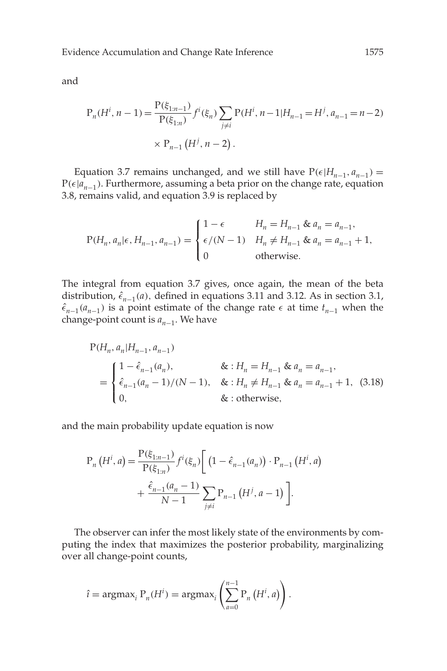$$
P_n(H^i, n-1) = \frac{P(\xi_{1:n-1})}{P(\xi_{1:n})} f^i(\xi_n) \sum_{j \neq i} P(H^i, n-1 | H_{n-1} = H^j, a_{n-1} = n-2)
$$
  
 
$$
\times P_{n-1}(H^j, n-2).
$$

Equation 3.7 remains unchanged, and we still have  $P(\epsilon | H_{n-1}, a_{n-1}) =$ P( $\epsilon | a_{n-1}$ ). Furthermore, assuming a beta prior on the change rate, equation 3.8, remains valid, and equation 3.9 is replaced by

$$
P(H_n, a_n | \epsilon, H_{n-1}, a_{n-1}) = \begin{cases} 1 - \epsilon & H_n = H_{n-1} \& a_n = a_{n-1}, \\ \epsilon/(N-1) & H_n \neq H_{n-1} \& a_n = a_{n-1} + 1, \\ 0 & \text{otherwise.} \end{cases}
$$

The integral from equation 3.7 gives, once again, the mean of the beta distribution,  $\hat{\epsilon}_{n-1}(a)$ , defined in equations 3.11 and 3.12. As in section 3.1,  $\hat{\epsilon}_{n-1}(a_{n-1})$  is a point estimate of the change rate  $\epsilon$  at time  $t_{n-1}$  when the change-point count is  $a_{n-1}$ . We have

$$
P(H_n, a_n|H_{n-1}, a_{n-1})
$$
\n
$$
= \begin{cases}\n1 - \hat{\epsilon}_{n-1}(a_n), & \& H_n = H_{n-1} \& a_n = a_{n-1}, \\
\hat{\epsilon}_{n-1}(a_n - 1)/(N - 1), & \& H_n \neq H_{n-1} \& a_n = a_{n-1} + 1,\n\end{cases}
$$
\n(3.18)\n
$$
0, \quad \& \text{: otherwise,}
$$

and the main probability update equation is now

$$
P_n(H^i, a) = \frac{P(\xi_{1:n-1})}{P(\xi_{1:n})} f^i(\xi_n) \left[ (1 - \hat{\epsilon}_{n-1}(a_n)) \cdot P_{n-1}(H^i, a) + \frac{\hat{\epsilon}_{n-1}(a_n - 1)}{N - 1} \sum_{j \neq i} P_{n-1}(H^j, a - 1) \right].
$$

The observer can infer the most likely state of the environments by computing the index that maximizes the posterior probability, marginalizing over all change-point counts,

$$
\hat{\imath} = \operatorname{argmax}_{i} P_{n}(H^{i}) = \operatorname{argmax}_{i} \left( \sum_{a=0}^{n-1} P_{n}(H^{i}, a) \right).
$$

and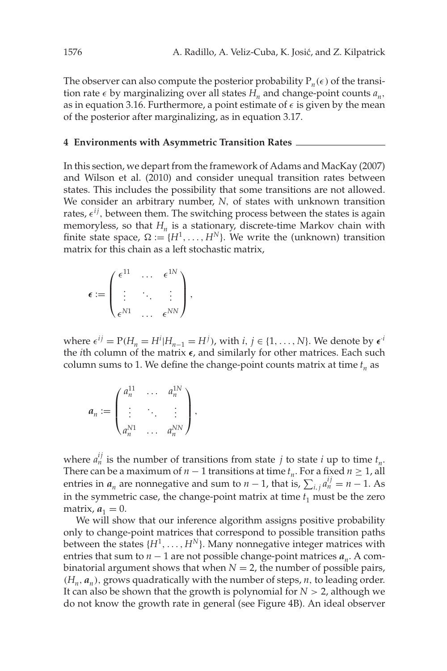The observer can also compute the posterior probability  $P_n(\epsilon)$  of the transition rate  $\epsilon$  by marginalizing over all states  $H_n$  and change-point counts  $a_n$ , as in equation 3.16. Furthermore, a point estimate of  $\epsilon$  is given by the mean of the posterior after marginalizing, as in equation 3.17.

#### **4 Environments with Asymmetric Transition Rates**

In this section, we depart from the framework of Adams and MacKay (2007) and Wilson et al. (2010) and consider unequal transition rates between states. This includes the possibility that some transitions are not allowed. We consider an arbitrary number, *N*, of states with unknown transition rates,  $\epsilon^{ij}$ , between them. The switching process between the states is again memoryless, so that *H<sub>n</sub>* is a stationary, discrete-time Markov chain with finite state space,  $\Omega := \{H^1, \ldots, H^N\}$ . We write the (unknown) transition matrix for this chain as a left stochastic matrix,

|            | $\epsilon^{11}$ | $\epsilon^{1N}$ |  |
|------------|-----------------|-----------------|--|
| $\epsilon$ |                 |                 |  |
|            | $\epsilon^{N1}$ | $\epsilon^{NN}$ |  |

where  $\epsilon^{ij} = P(H_n = H^i | H_{n-1} = H^j)$ , with  $i, j \in \{1, ..., N\}$ . We denote by  $\epsilon^{i}$ the *i*th column of the matrix  $\epsilon$ , and similarly for other matrices. Each such column sums to 1. We define the change-point counts matrix at time  $t_n$  as

$$
a_n := \begin{pmatrix} a_n^{11} & \cdots & a_n^{1N} \\ \vdots & \ddots & \vdots \\ a_n^{N1} & \cdots & a_n^{NN} \end{pmatrix},
$$

where  $a_n^{ij}$  is the number of transitions from state *j* to state *i* up to time  $t_n$ . There can be a maximum of  $n - 1$  transitions at time  $t_n$ . For a fixed  $n \geq 1$ , all entries in  $a_n$  are nonnegative and sum to  $n-1$ , that is,  $\sum_{i,j} a_n^{ij} = n-1$ . As in the symmetric case, the change-point matrix at time  $t_1$  must be the zero matrix,  $a_1 = 0$ .

We will show that our inference algorithm assigns positive probability only to change-point matrices that correspond to possible transition paths between the states  $\{H^1, \ldots, H^N\}$ . Many nonnegative integer matrices with entries that sum to  $n - 1$  are not possible change-point matrices  $a_n$ . A combinatorial argument shows that when  $N = 2$ , the number of possible pairs,  $(H_n, a_n)$ , grows quadratically with the number of steps, *n*, to leading order. It can also be shown that the growth is polynomial for  $N > 2$ , although we do not know the growth rate in general (see Figure 4B). An ideal observer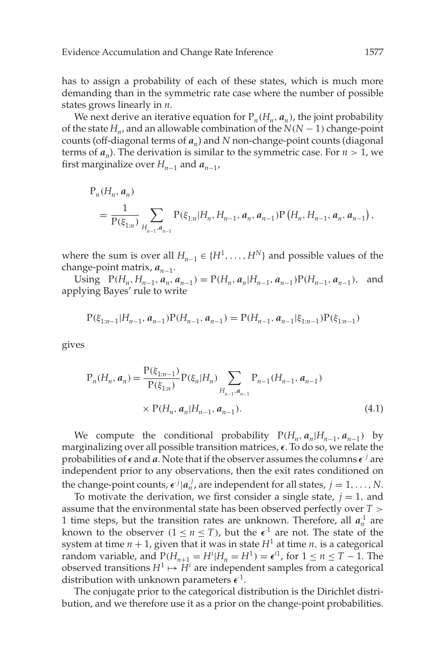has to assign a probability of each of these states, which is much more demanding than in the symmetric rate case where the number of possible states grows linearly in *n*.

We next derive an iterative equation for  $P_n(H_n, a_n)$ , the joint probability of the state  $H_n$ , and an allowable combination of the  $N(N-1)$  change-point counts (off-diagonal terms of *an*) and *N* non-change-point counts (diagonal terms of  $a_n$ ). The derivation is similar to the symmetric case. For  $n > 1$ , we first marginalize over  $H_{n-1}$  and  $a_{n-1}$ ,

$$
P_n(H_n, a_n)
$$
  
=  $\frac{1}{P(\xi_{1:n})} \sum_{H_{n-1}, a_{n-1}} P(\xi_{1:n}|H_n, H_{n-1}, a_n, a_{n-1}) P(H_n, H_{n-1}, a_n, a_{n-1}),$ 

where the sum is over all  $H_{n-1} \in \{H^1, \ldots, H^N\}$  and possible values of the change-point matrix, *an*<sup>−</sup>1.

Using  $P(H_n, H_{n-1}, a_n, a_{n-1}) = P(H_n, a_n | H_{n-1}, a_{n-1})P(H_{n-1}, a_{n-1})$ , and applying Bayes' rule to write

$$
P(\xi_{1:n-1}|H_{n-1}, a_{n-1})P(H_{n-1}, a_{n-1}) = P(H_{n-1}, a_{n-1}|\xi_{1:n-1})P(\xi_{1:n-1})
$$

gives

$$
P_n(H_n, a_n) = \frac{P(\xi_{1:n-1})}{P(\xi_{1:n})} P(\xi_n | H_n) \sum_{H_{n-1}, a_{n-1}} P_{n-1}(H_{n-1}, a_{n-1})
$$
  
× P(H\_n, a\_n | H\_{n-1}, a\_{n-1}). (4.1)

We compute the conditional probability  $P(H_n, a_n|H_{n-1}, a_{n-1})$  by marginalizing over all possible transition matrices, *-*. To do so, we relate the probabilities of  $\epsilon$  and  $a$ . Note that if the observer assumes the columns  $\epsilon$  *j* are independent prior to any observations, then the exit rates conditioned on the change-point counts,  $\epsilon^{j} | a_{n}^{j}$ , are independent for all states,  $j = 1, ..., N$ .

To motivate the derivation, we first consider a single state,  $j = 1$ , and assume that the environmental state has been observed perfectly over *T* > 1 time steps, but the transition rates are unknown. Therefore, all  $a_n^1$  are known to the observer  $(1 \le n \le T)$ , but the  $\epsilon^1$  are not. The state of the system at time  $n + 1$ , given that it was in state  $H<sup>1</sup>$  at time *n*, is a categorical random variable, and  $P(H_{n+1} = H^i | H_n = H^1) = \epsilon^{i_1}$ , for  $1 \le n \le T - 1$ . The observed transitions  $H^1 \mapsto H^i$  are independent samples from a categorical distribution with unknown parameters *-*·1.

The conjugate prior to the categorical distribution is the Dirichlet distribution, and we therefore use it as a prior on the change-point probabilities.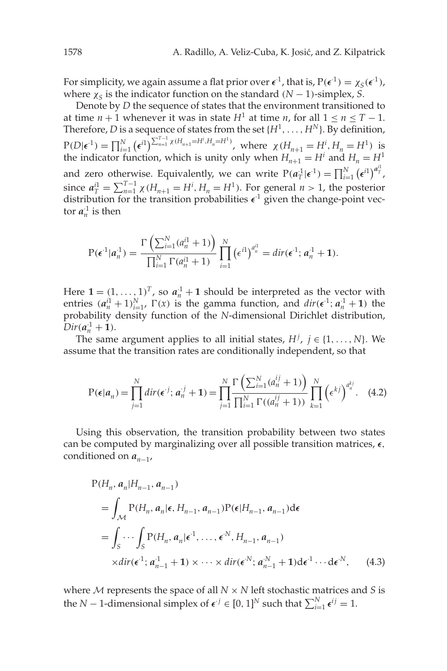For simplicity, we again assume a flat prior over  $\epsilon^1$ , that is,  $P(\epsilon^1) = \chi_S(\epsilon^1)$ , where  $\chi_S$  is the indicator function on the standard ( $N - 1$ )-simplex, *S*.

Denote by *D* the sequence of states that the environment transitioned to at time *n* + 1 whenever it was in state  $H^1$  at time *n*, for all  $1 \le n \le T - 1$ . Therefore, *D* is a sequence of states from the set  $\{H^1,\ldots,H^N\}$ . By definition,  $P(D|\epsilon^{1}) = \prod_{i=1}^{N} (\epsilon^{i1})^{\sum_{n=1}^{T-1} \chi(H_{n+1} = H^{i}, H_{n} = H^{1})}$ , where  $\chi(H_{n+1} = H^{i}, H_{n} = H^{1})$  is the indicator function, which is unity only when  $H_{n+1} = H^i$  and  $H_n = H^1$ and zero otherwise. Equivalently, we can write  $P(a_T^1 | \boldsymbol{\epsilon}^{1}) = \prod_{i=1}^N (\boldsymbol{\epsilon}^{i1})^{a_T^i}$ , since  $a_T^{i1} = \sum_{n=1}^{T-1} \chi(H_{n+1} = H^i, H_n = H^1)$ . For general  $n > 1$ , the posterior distribution for the transition probabilities  $\epsilon^1$  given the change-point vector  $a_n^{\text{-}1}$  is then

$$
P(\epsilon^1 | a_n^1) = \frac{\Gamma\left(\sum_{i=1}^N (a_n^{i1} + 1)\right)}{\prod_{i=1}^N \Gamma(a_n^{i1} + 1)} \prod_{i=1}^N (\epsilon^{i1})^{a_n^{i1}} = \text{dir}(\epsilon^1; a_n^{i1} + 1).
$$

Here  $\mathbf{1} = (1, \ldots, 1)^T$ , so  $a_n^1 + 1$  should be interpreted as the vector with entries  $(a_n^1 + 1)_{i=1}^N$ ,  $\Gamma(x)$  is the gamma function, and  $dir(\epsilon^1; a_n^1 + 1)$  the probability density function of the *N*-dimensional Dirichlet distribution,  $Dir(a_n^{\cdot 1} + 1).$ 

The same argument applies to all initial states,  $H^j$ ,  $j \in \{1, \ldots, N\}$ . We assume that the transition rates are conditionally independent, so that

$$
P(\epsilon | a_n) = \prod_{j=1}^{N} dir(\epsilon^{j}; a_n^{j} + 1) = \prod_{j=1}^{N} \frac{\Gamma\left(\sum_{i=1}^{N} (a_n^{ij} + 1)\right)}{\prod_{i=1}^{N} \Gamma((a_n^{ij} + 1))} \prod_{k=1}^{N} \left(\epsilon^{kj}\right)^{a_n^{kj}}.
$$
 (4.2)

Using this observation, the transition probability between two states can be computed by marginalizing over all possible transition matrices,  $\epsilon$ , conditioned on *an*<sup>−</sup>1,

$$
P(H_n, a_n|H_{n-1}, a_{n-1})
$$
  
=  $\int_M P(H_n, a_n|\epsilon, H_{n-1}, a_{n-1})P(\epsilon|H_{n-1}, a_{n-1})d\epsilon$   
=  $\int_S \cdots \int_S P(H_n, a_n|\epsilon^1, \ldots, \epsilon^N, H_{n-1}, a_{n-1})$   
 $\times dir(\epsilon^1; a_{n-1}^1 + 1) \times \cdots \times dir(\epsilon^N; a_{n-1}^N + 1) d\epsilon^1 \cdots d\epsilon^N,$  (4.3)

where  $M$  represents the space of all  $N \times N$  left stochastic matrices and *S* is the *N* − 1-dimensional simplex of  $\epsilon^{j} \in [0, 1]^N$  such that  $\sum_{i=1}^{N} \epsilon^{ij} = 1$ .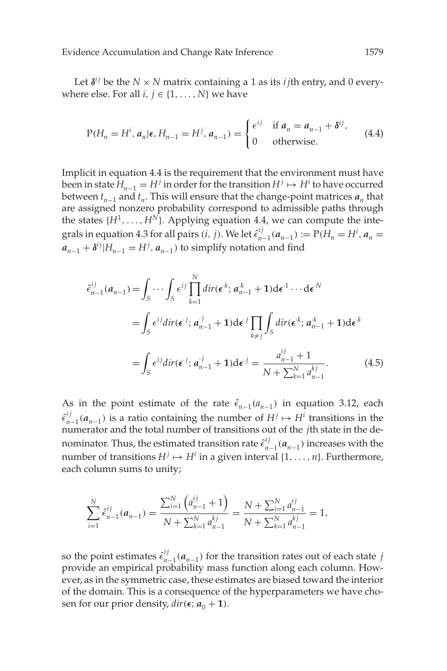Let  $\delta^{ij}$  be the  $N \times N$  matrix containing a 1 as its *i* jth entry, and 0 everywhere else. For all  $i, j \in \{1, \ldots, N\}$  we have

$$
P(H_n = H^i, a_n | \epsilon, H_{n-1} = H^j, a_{n-1}) = \begin{cases} \epsilon^{ij} & \text{if } a_n = a_{n-1} + \delta^{ij}, \\ 0 & \text{otherwise.} \end{cases}
$$
(4.4)

Implicit in equation 4.4 is the requirement that the environment must have been in state  $H_{n-1} = H^j$  in order for the transition  $H^j \mapsto H^i$  to have occurred between  $t_{n-1}$  and  $t_n$ . This will ensure that the change-point matrices  $a_n$  that are assigned nonzero probability correspond to admissible paths through the states  $\{H^1, \ldots, H^N\}$ . Applying equation 4.4, we can compute the integrals in equation 4.3 for all pairs  $(i, j)$ . We let  $\hat{\epsilon}_{n-1}^{ij}(a_{n-1}) := P(H_n = H^i, a_n =$  $a_{n-1} + \delta^{ij} | H_{n-1} = H^j$ ,  $a_{n-1}$ ) to simplify notation and find

$$
\hat{\epsilon}_{n-1}^{ij}(a_{n-1}) = \int_{S} \cdots \int_{S} \epsilon^{ij} \prod_{k=1}^{N} dir(\epsilon^{k}; a_{n-1}^{k} + 1) d\epsilon^{1} \cdots d\epsilon^{N}
$$
\n
$$
= \int_{S} \epsilon^{ij} dir(\epsilon^{j}; a_{n-1}^{j} + 1) d\epsilon^{j} \prod_{k \neq j} \int_{S} dir(\epsilon^{k}; a_{n-1}^{k} + 1) d\epsilon^{k}
$$
\n
$$
= \int_{S} \epsilon^{ij} dir(\epsilon^{j}; a_{n-1}^{j} + 1) d\epsilon^{j} = \frac{a_{n-1}^{ij} + 1}{N + \sum_{k=1}^{N} a_{n-1}^{kj}}.
$$
\n(4.5)

As in the point estimate of the rate  $\hat{\epsilon}_{n-1}(a_{n-1})$  in equation 3.12, each  $\hat{\epsilon}_{n-1}^{ij}(a_{n-1})$  is a ratio containing the number of  $H^j$  →  $H^i$  transitions in the numerator and the total number of transitions out of the *j*th state in the denominator. Thus, the estimated transition rate  $\hat{\epsilon}_{n-1}^{ij}(a_{n-1})$  increases with the number of transitions  $H^j \mapsto H^i$  in a given interval  $\{1, \ldots, n\}$ . Furthermore, each column sums to unity;

$$
\sum_{i=1}^{N} \hat{\epsilon}_{n-1}^{ij}(a_{n-1}) = \frac{\sum_{i=1}^{N} (a_{n-1}^{ij} + 1)}{N + \sum_{k=1}^{N} a_{n-1}^{kj}} = \frac{N + \sum_{i=1}^{N} a_{n-1}^{ij}}{N + \sum_{k=1}^{N} a_{n-1}^{kj}} = 1,
$$

so the point estimates  $\hat{\epsilon}_{n-1}^{ij}$  ( $a_{n-1}$ ) for the transition rates out of each state *j* provide an empirical probability mass function along each column. However, as in the symmetric case, these estimates are biased toward the interior of the domain. This is a consequence of the hyperparameters we have chosen for our prior density,  $dir(\epsilon; a_0 + 1)$ .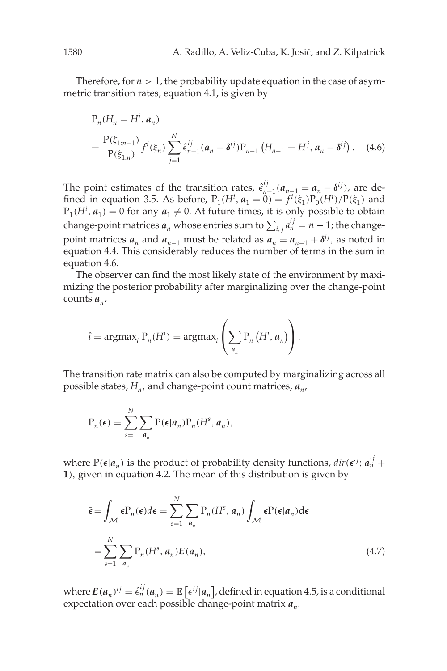Therefore, for  $n > 1$ , the probability update equation in the case of asymmetric transition rates, equation 4.1, is given by

$$
P_n(H_n = H^i, a_n)
$$
  
= 
$$
\frac{P(\xi_{1:n-1})}{P(\xi_{1:n})} f^i(\xi_n) \sum_{j=1}^N \xi_{n-1}^{ij} (a_n - \delta^{ij}) P_{n-1} (H_{n-1} = H^j, a_n - \delta^{ij}).
$$
 (4.6)

The point estimates of the transition rates,  $\hat{\epsilon}_{n-1}^{ij}$  ( $a_{n-1} = a_n - \delta^{ij}$ ), are defined in equation 3.5. As before,  $P_1(H^i, a_1 = 0) = f^i(\xi_1)P_0(H^i)/P(\xi_1)$  and  $P_1(H^i, a_1) = 0$  for any  $a_1 \neq 0$ . At future times, it is only possible to obtain change-point matrices  $a_n$  whose entries sum to  $\sum_{i,j} a_n^{ij} = n - 1$ ; the changepoint matrices  $a_n$  and  $a_{n-1}$  must be related as  $a_n = a_{n-1} + \delta^{ij}$ , as noted in equation 4.4. This considerably reduces the number of terms in the sum in equation 4.6.

The observer can find the most likely state of the environment by maximizing the posterior probability after marginalizing over the change-point counts *an*,

$$
\hat{\imath} = \operatorname{argmax}_{i} P_{n}(H^{i}) = \operatorname{argmax}_{i} \left( \sum_{a_{n}} P_{n}(H^{i}, a_{n}) \right).
$$

The transition rate matrix can also be computed by marginalizing across all possible states,  $H_n$ , and change-point count matrices,  $a_n$ ,

$$
P_n(\epsilon) = \sum_{s=1}^N \sum_{a_n} P(\epsilon | a_n) P_n(H^s, a_n),
$$

where  $P(\epsilon | a_n)$  is the product of probability density functions,  $dir(\epsilon^j; a_n^j + \epsilon)$ **1**), given in equation 4.2. The mean of this distribution is given by

$$
\bar{\epsilon} = \int_{\mathcal{M}} \epsilon P_n(\epsilon) d\epsilon = \sum_{s=1}^{N} \sum_{a_n} P_n(H^s, a_n) \int_{\mathcal{M}} \epsilon P(\epsilon | a_n) d\epsilon
$$

$$
= \sum_{s=1}^{N} \sum_{a_n} P_n(H^s, a_n) E(a_n), \qquad (4.7)
$$

where  $E(a_n)^{ij} = \hat{\epsilon}_n^{ij}(a_n) = \mathbb{E}\left[\epsilon^{ij}|a_n\right]$ , defined in equation 4.5, is a conditional expectation over each possible change-point matrix *an*.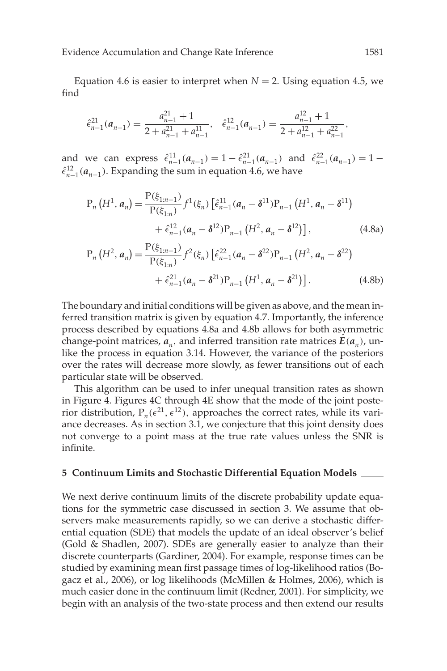Equation 4.6 is easier to interpret when  $N = 2$ . Using equation 4.5, we find

$$
\hat{\epsilon}_{n-1}^{21}(a_{n-1}) = \frac{a_{n-1}^{21} + 1}{2 + a_{n-1}^{21} + a_{n-1}^{11}}, \quad \hat{\epsilon}_{n-1}^{12}(a_{n-1}) = \frac{a_{n-1}^{12} + 1}{2 + a_{n-1}^{12} + a_{n-1}^{22}},
$$

and we can express  $\hat{\epsilon}_{n-1}^{11}(a_{n-1}) = 1 - \hat{\epsilon}_{n-1}^{21}(a_{n-1})$  and  $\hat{\epsilon}_{n-1}^{22}(a_{n-1}) = 1 \hat{\epsilon}_{n-1}^{12}(a_{n-1})$ . Expanding the sum in equation 4.6, we have

$$
P_n(H^1, a_n) = \frac{P(\xi_{1:n-1})}{P(\xi_{1:n})} f^1(\xi_n) \left[ \hat{\epsilon}_{n-1}^{11}(a_n - \delta^{11}) P_{n-1}(H^1, a_n - \delta^{11}) + \hat{\epsilon}_{n-1}^{12}(a_n - \delta^{12}) P_{n-1}(H^2, a_n - \delta^{12}) \right],
$$
\n(4.8a)

$$
P_n(H^2, a_n) = \frac{P(\xi_{1:n-1})}{P(\xi_{1:n})} f^2(\xi_n) \left[ \hat{\epsilon}_{n-1}^{22}(a_n - \delta^{22}) P_{n-1}(H^2, a_n - \delta^{22}) + \hat{\epsilon}_{n-1}^{21}(a_n - \delta^{21}) P_{n-1}(H^1, a_n - \delta^{21}) \right].
$$
 (4.8b)

The boundary and initial conditions will be given as above, and the mean inferred transition matrix is given by equation 4.7. Importantly, the inference process described by equations 4.8a and 4.8b allows for both asymmetric change-point matrices,  $a_n$ , and inferred transition rate matrices  $E(a_n)$ , unlike the process in equation 3.14. However, the variance of the posteriors over the rates will decrease more slowly, as fewer transitions out of each particular state will be observed.

This algorithm can be used to infer unequal transition rates as shown in Figure 4. Figures 4C through 4E show that the mode of the joint posterior distribution,  $P_n(\epsilon^{21}, \epsilon^{12})$ , approaches the correct rates, while its variance decreases. As in section 3.1, we conjecture that this joint density does not converge to a point mass at the true rate values unless the SNR is infinite.

#### **5 Continuum Limits and Stochastic Differential Equation Models**

We next derive continuum limits of the discrete probability update equations for the symmetric case discussed in section 3. We assume that observers make measurements rapidly, so we can derive a stochastic differential equation (SDE) that models the update of an ideal observer's belief (Gold & Shadlen, 2007). SDEs are generally easier to analyze than their discrete counterparts (Gardiner, 2004). For example, response times can be studied by examining mean first passage times of log-likelihood ratios (Bogacz et al., 2006), or log likelihoods (McMillen & Holmes, 2006), which is much easier done in the continuum limit (Redner, 2001). For simplicity, we begin with an analysis of the two-state process and then extend our results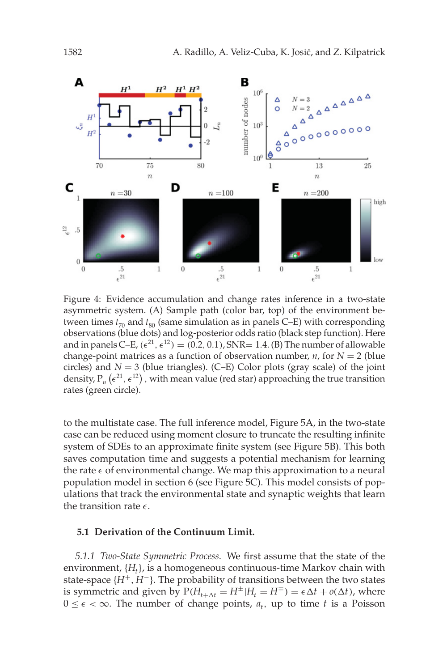

Figure 4: Evidence accumulation and change rates inference in a two-state asymmetric system. (A) Sample path (color bar, top) of the environment between times  $t_{70}$  and  $t_{80}$  (same simulation as in panels C–E) with corresponding observations (blue dots) and log-posterior odds ratio (black step function). Here and in panels C–E,  $(\epsilon^{21}, \epsilon^{12}) = (0.2, 0.1)$ , SNR= 1.4. (B) The number of allowable change-point matrices as a function of observation number,  $n$ , for  $N = 2$  (blue circles) and  $N = 3$  (blue triangles). (C–E) Color plots (gray scale) of the joint density,  $P_n(\epsilon^{21}, \epsilon^{12})$ , with mean value (red star) approaching the true transition rates (green circle).

to the multistate case. The full inference model, Figure 5A, in the two-state case can be reduced using moment closure to truncate the resulting infinite system of SDEs to an approximate finite system (see Figure 5B). This both saves computation time and suggests a potential mechanism for learning the rate  $\epsilon$  of environmental change. We map this approximation to a neural population model in section 6 (see Figure 5C). This model consists of populations that track the environmental state and synaptic weights that learn the transition rate  $\epsilon$ .

### **5.1 Derivation of the Continuum Limit.**

*5.1.1 Two-State Symmetric Process.* We first assume that the state of the environment, {H<sub>t</sub>}, is a homogeneous continuous-time Markov chain with state-space  $\{H^+, H^-\}$ . The probability of transitions between the two states is symmetric and given by  $P(H_{t+\Delta t} = H^{\pm}|H_t = H^{\mp}) = \epsilon \Delta t + o(\Delta t)$ , where  $0 \leq \epsilon < \infty$ . The number of change points,  $a_t$ , up to time *t* is a Poisson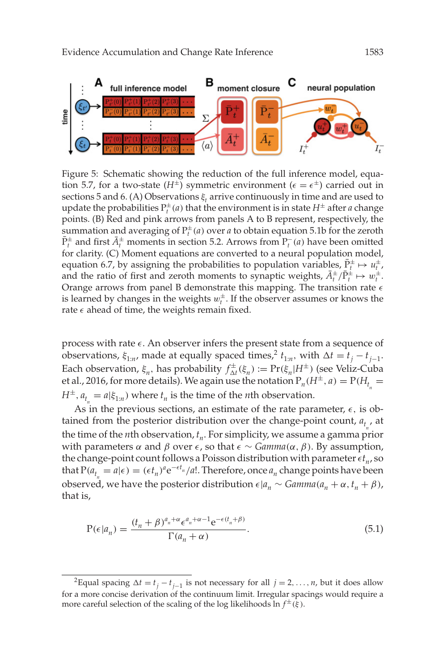

Figure 5: Schematic showing the reduction of the full inference model, equation 5.7, for a two-state ( $H^{\pm}$ ) symmetric environment ( $\epsilon = \epsilon^{\pm}$ ) carried out in sections 5 and 6. (A) Observations  $\xi_t$  arrive continuously in time and are used to update the probabilities  $P_t^{\pm}(a)$  that the environment is in state  $H^{\pm}$  after *a* change points. (B) Red and pink arrows from panels A to B represent, respectively, the summation and averaging of  $P_t^{\pm}(a)$  over *a* to obtain equation 5.1b for the zeroth  $\bar{P}_t^{\pm}$  and first  $\bar{A}_t^{\pm}$  moments in section 5.2. Arrows from  $P_t^-(a)$  have been omitted for clarity. (C) Moment equations are converted to a neural population model, equation 6.7, by assigning the probabilities to population variables,  $\bar{P}_{t}^{\pm} \mapsto u_{t}^{\pm}$ , and the ratio of first and zeroth moments to synaptic weights,  $\bar{A}_t^{\pm}/\bar{P}_t^{\pm} \mapsto w_t^{\pm}$ . Orange arrows from panel B demonstrate this mapping. The transition rate  $\epsilon$ is learned by changes in the weights  $w_t^{\pm}$ . If the observer assumes or knows the rate  $\epsilon$  ahead of time, the weights remain fixed.

process with rate  $\epsilon$ . An observer infers the present state from a sequence of observations,  $\xi_{1:n}$ , made at equally spaced times,<sup>2</sup>  $t_{1:n}$ , with  $\Delta t = t_i - t_{i-1}$ . Each observation,  $\xi_n$ , has probability  $f_{\Delta t}^{\pm}(\xi_n) := \Pr(\xi_n|H^{\pm})$  (see Veliz-Cuba et al., 2016, for more details). We again use the notation  $P_n(H^{\pm}, a) = P(H_{t_n} = a)$ *H*<sup> $\pm$ </sup>, *a*<sub>*t<sub>n</sub>*</sub> = *a*| $\xi$ <sub>1:*n*</sub>) where *t<sub>n</sub>* is the time of the *n*th observation.

As in the previous sections, an estimate of the rate parameter,  $\epsilon$ , is obtained from the posterior distribution over the change-point count,  $a_{t_n}$ , at the time of the *n*th observation, *t<sub>n</sub>*. For simplicity, we assume a gamma prior with parameters  $\alpha$  and  $\beta$  over  $\epsilon$ , so that  $\epsilon \sim$  *Gamma*( $\alpha$ ,  $\beta$ ). By assumption, the change-point count follows a Poisson distribution with parameter  $\epsilon t_n$ , so that  $P(a_{t_n} = a | \epsilon) = (\epsilon t_n)^a e^{-\epsilon t_n} / a!$ . Therefore, once  $a_n$  change points have been  $\alpha$  observed, we have the posterior distribution  $\epsilon | a_n \sim \text{Gamma}(a_n + \alpha, t_n + \beta)$ , that is,

$$
P(\epsilon | a_n) = \frac{(t_n + \beta)^{a_n + \alpha} \epsilon^{a_n + \alpha - 1} e^{-\epsilon(t_n + \beta)}}{\Gamma(a_n + \alpha)}.
$$
\n(5.1)

<sup>&</sup>lt;sup>2</sup>Equal spacing  $\Delta t = t_j - t_{j-1}$  is not necessary for all  $j = 2, ..., n$ , but it does allow for a more concise derivation of the continuum limit. Irregular spacings would require a more careful selection of the scaling of the log likelihoods ln  $f^{\pm}(\xi)$ .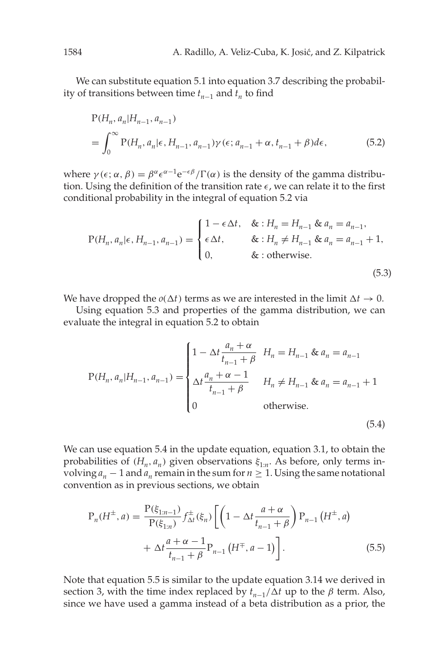We can substitute equation 5.1 into equation 3.7 describing the probability of transitions between time  $t_{n-1}$  and  $t_n$  to find

$$
P(H_n, a_n | H_{n-1}, a_{n-1})
$$
  
=  $\int_0^\infty P(H_n, a_n | \epsilon, H_{n-1}, a_{n-1}) \gamma(\epsilon; a_{n-1} + \alpha, t_{n-1} + \beta) d\epsilon,$  (5.2)

where  $\gamma(\epsilon; \alpha, \beta) = \beta^{\alpha} \epsilon^{\alpha-1} e^{-\epsilon \beta} / \Gamma(\alpha)$  is the density of the gamma distribution. Using the definition of the transition rate  $\epsilon$ , we can relate it to the first conditional probability in the integral of equation 5.2 via

$$
P(H_n, a_n | \epsilon, H_{n-1}, a_{n-1}) = \begin{cases} 1 - \epsilon \Delta t, & \& H_n = H_{n-1} \& a_n = a_{n-1}, \\ \epsilon \Delta t, & \& H_n \neq H_{n-1} \& a_n = a_{n-1} + 1, \\ 0, & \& \text{: otherwise.} \end{cases}
$$
(5.3)

We have dropped the  $o(\Delta t)$  terms as we are interested in the limit  $\Delta t \rightarrow 0$ .

Using equation 5.3 and properties of the gamma distribution, we can evaluate the integral in equation 5.2 to obtain

$$
P(H_n, a_n|H_{n-1}, a_{n-1}) = \begin{cases} 1 - \Delta t \frac{a_n + \alpha}{t_{n-1} + \beta} & H_n = H_{n-1} \& a_n = a_{n-1} \\ \Delta t \frac{a_n + \alpha - 1}{t_{n-1} + \beta} & H_n \neq H_{n-1} \& a_n = a_{n-1} + 1 \\ 0 & \text{otherwise.} \end{cases}
$$
(5.4)

We can use equation 5.4 in the update equation, equation 3.1, to obtain the probabilities of  $(H_n, a_n)$  given observations  $\xi_{1:n}$ . As before, only terms involving  $a_n - 1$  and  $a_n$  remain in the sum for  $n \geq 1$ . Using the same notational convention as in previous sections, we obtain

$$
P_n(H^{\pm}, a) = \frac{P(\xi_{1:n-1})}{P(\xi_{1:n})} f_{\Delta t}^{\pm}(\xi_n) \left[ \left( 1 - \Delta t \frac{a + \alpha}{t_{n-1} + \beta} \right) P_{n-1} \left( H^{\pm}, a \right) \right. \\ \left. + \Delta t \frac{a + \alpha - 1}{t_{n-1} + \beta} P_{n-1} \left( H^{\mp}, a - 1 \right) \right]. \tag{5.5}
$$

Note that equation 5.5 is similar to the update equation 3.14 we derived in section 3, with the time index replaced by  $t_{n-1}/\Delta t$  up to the  $\beta$  term. Also, since we have used a gamma instead of a beta distribution as a prior, the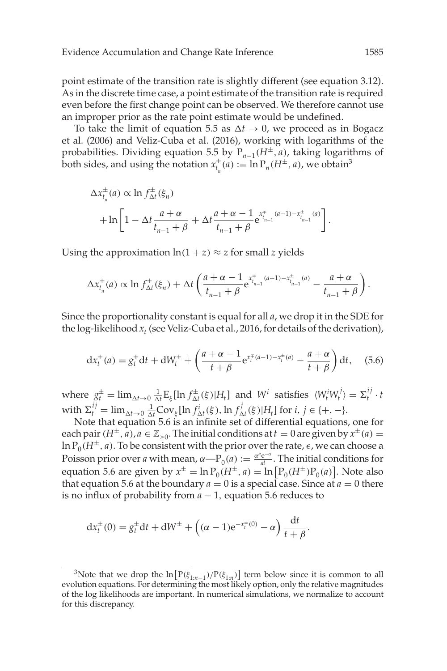point estimate of the transition rate is slightly different (see equation 3.12). As in the discrete time case, a point estimate of the transition rate is required even before the first change point can be observed. We therefore cannot use an improper prior as the rate point estimate would be undefined.

To take the limit of equation 5.5 as  $\Delta t \rightarrow 0$ , we proceed as in Bogacz et al. (2006) and Veliz-Cuba et al. (2016), working with logarithms of the probabilities. Dividing equation 5.5 by  $P_{n-1}(H^{\pm}, a)$ , taking logarithms of both sides, and using the notation  $x_{t_n}^{\pm}(a) := \ln P_n(H^{\pm}, a)$ , we obtain<sup>3</sup>

$$
\Delta x_{t_n}^{\pm}(a) \propto \ln f_{\Delta t}^{\pm}(\xi_n) + \ln \left[ 1 - \Delta t \frac{a + \alpha}{t_{n-1} + \beta} + \Delta t \frac{a + \alpha - 1}{t_{n-1} + \beta} e^{x_{t_{n-1}}^{\mp}(a-1) - x_{t_{n-1}}^{\pm}(a)} \right].
$$

Using the approximation  $ln(1 + z) \approx z$  for small *z* yields

$$
\Delta x_{t_n}^{\pm}(a) \propto \ln f_{\Delta t}^{\pm}(\xi_n) + \Delta t \left( \frac{a+\alpha-1}{t_{n-1}+\beta} e^{x_{t_{n-1}}^{\mp}(a-1) - x_{t_{n-1}}^{\pm}(a)} - \frac{a+\alpha}{t_{n-1}+\beta} \right).
$$

Since the proportionality constant is equal for all *a*, we drop it in the SDE for the log-likelihood  $x_t$  (see Veliz-Cuba et al., 2016, for details of the derivation),

$$
dx_t^{\pm}(a) = g_t^{\pm}dt + dW_t^{\pm} + \left(\frac{a+\alpha-1}{t+\beta}e^{x_t^{\mp}(a-1)-x_t^{\pm}(a)} - \frac{a+\alpha}{t+\beta}\right)dt, \quad (5.6)
$$

where  $g_t^{\pm} = \lim_{\Delta t \to 0} \frac{1}{\Delta t} E_{\xi}[\ln f_{\Delta t}^{\pm}(\xi)|H_t]$  and  $W^i$  satisfies  $\langle W_t^i W_t^j \rangle = \Sigma_t^{ij} \cdot t$ with  $\Sigma_t^{ij} = \lim_{\Delta t \to 0} \frac{1}{\Delta t} \text{Cov}_{\xi}[\ln f_{\Delta t}^i(\xi), \ln f_{\Delta t}^j(\xi)|H_t]$  for  $i, j \in \{+, -\}.$ 

Note that equation 5.6 is an infinite set of differential equations, one for each pair  $(H^{\pm}, \tilde{a})$ ,  $a \in \mathbb{Z}_{>0}$ . The initial conditions at  $t = 0$  are given by  $x^{\pm}(a) =$  $\ln P_0(H^{\pm}, a)$ . To be consistent with the prior over the rate,  $\epsilon$ , we can choose a Poisson prior over *a* with mean,  $\alpha - P_0(a) := \frac{\alpha^a e^{-a}}{a!}$ . The initial conditions for equation 5.6 are given by  $x^{\pm} = \ln P_0(H^{\pm}, a) = \ln [P_0(H^{\pm})P_0(a)]$ . Note also that equation 5.6 at the boundary  $a = 0$  is a special case. Since at  $a = 0$  there is no influx of probability from *a* − 1, equation 5.6 reduces to

$$
dx_t^{\pm}(0) = g_t^{\pm}dt + dW^{\pm} + ((\alpha - 1)e^{-x_t^{\pm}(0)} - \alpha) \frac{dt}{t + \beta}.
$$

<sup>&</sup>lt;sup>3</sup>Note that we drop the  $\ln [P(\xi_{1:n-1})/P(\xi_{1:n})]$  term below since it is common to all evolution equations. For determining the most likely option, only the relative magnitudes of the log likelihoods are important. In numerical simulations, we normalize to account for this discrepancy.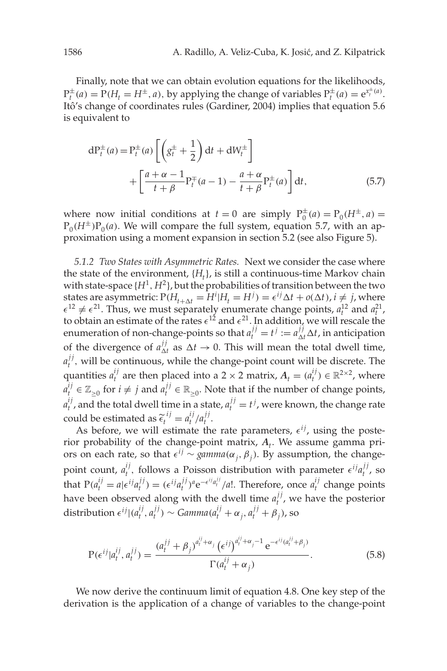Finally, note that we can obtain evolution equations for the likelihoods,  $P_t^{\pm}(a) = P(H_t = H^{\pm}, a)$ , by applying the change of variables  $P_t^{\pm}(a) = e^{x_t^{\pm}(a)}$ . Itô's change of coordinates rules (Gardiner, 2004) implies that equation 5.6 is equivalent to

$$
dP_t^{\pm}(a) = P_t^{\pm}(a) \left[ \left( g_t^{\pm} + \frac{1}{2} \right) dt + dW_t^{\pm} \right] + \left[ \frac{a + \alpha - 1}{t + \beta} P_t^{\pm}(a - 1) - \frac{a + \alpha}{t + \beta} P_t^{\pm}(a) \right] dt,
$$
 (5.7)

where now initial conditions at  $t = 0$  are simply  $P_0^{\pm}(a) = P_0(H^{\pm}, a) =$  $P_0(H^{\pm})P_0(a)$ . We will compare the full system, equation 5.7, with an approximation using a moment expansion in section 5.2 (see also Figure 5).

*5.1.2 Two States with Asymmetric Rates.* Next we consider the case where the state of the environment,  ${H<sub>t</sub>}$ , is still a continuous-time Markov chain with state-space  $\{H^1, H^2\}$ , but the probabilities of transition between the two states are asymmetric:  $P(H_{t+\Delta t} = H^i | H_t = H^j) = \epsilon^{ij} \Delta t + o(\Delta t), i \neq j$ , where  $\epsilon^{12} \neq \epsilon^{21}$ . Thus, we must separately enumerate change points,  $a_t^{12}$  and  $a_t^{21}$ , to obtain an estimate of the rates  $\epsilon^{12}$  and  $\epsilon^{21}$ . In addition, we will rescale the enumeration of non-change-points so that  $a_t^{j j} = t^j := a_{\Delta t}^{j j} \Delta t$ , in anticipation of the divergence of  $a_{\Delta t}^{j j}$  as  $\Delta t \rightarrow 0$ . This will mean the total dwell time,  $a_i^{jj}$ , will be continuous, while the change-point count will be discrete. The quantities  $a_t^{ij}$  are then placed into a 2 × 2 matrix,  $A_t = (a_t^{ij}) \in \mathbb{R}^{2 \times 2}$ , where  $a_i^{ij}$  ∈  $\mathbb{Z}_{\geq 0}$  for  $i \neq j$  and  $a_i^{jj}$  ∈  $\mathbb{R}_{\geq 0}$ . Note that if the number of change points,  $a_t^{ij}$ , and the total dwell time in a state,  $a_t^{jj} = t^j$ , were known, the change rate could be estimated as  $\tilde{\epsilon}_t^{ij} = a_t^{ij}/a_t^{jj}$ .<br>As before, we will estimate the

As before, we will estimate the rate parameters,  $\epsilon^{ij}$ , using the posterior probability of the change-point matrix, *At*. We assume gamma priors on each rate, so that  $\epsilon^{ij} \sim gamma(\alpha_j, \beta_j)$ . By assumption, the changepoint count,  $a_t^{ij}$ , follows a Poisson distribution with parameter  $\epsilon^{ij}a_t^{jj}$ , so that  $P(a_t^{ij} = a | \epsilon^{ij} a_t^{jj}) = (\epsilon^{ij} a_t^{jj})^a e^{-\epsilon^{ij} a_t^{jj}} / a!$ . Therefore, once  $a_t^{ij}$  change points have been observed along with the dwell time  $a_i^{jj}$ , we have the posterior distribution  $\epsilon^{ij}|(a_t^{ij}, a_t^{jj}) \sim \text{Gamma}(a_t^{ij} + \alpha_j, a_t^{jj} + \beta_j)$ , so

$$
P(\epsilon^{ij} | a_i^{ij}, a_i^{jj}) = \frac{(a_i^{jj} + \beta_j)^{a_i^{jj} + \alpha_j} (\epsilon^{ij})^{a_i^{jj} + \alpha_j - 1} e^{-\epsilon^{ij} (a_i^{jj} + \beta_j)}}{\Gamma(a_i^{ij} + \alpha_j)}.
$$
(5.8)

We now derive the continuum limit of equation 4.8. One key step of the derivation is the application of a change of variables to the change-point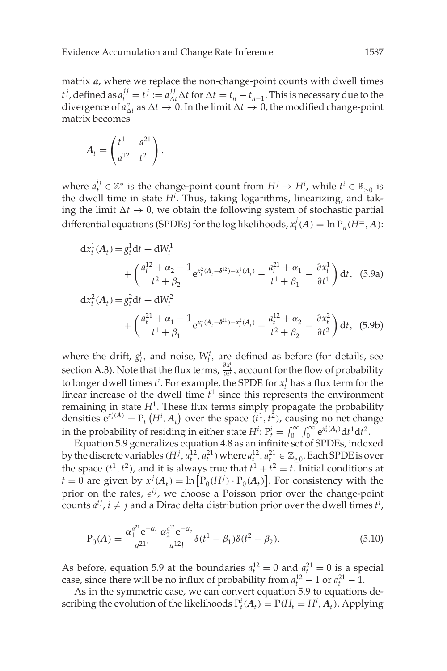matrix *a*, where we replace the non-change-point counts with dwell times *t*<sup>*j*</sup>, defined as  $a_t^{jj} = t^j := a_{\Delta t}^{jj} \Delta t$  for  $\Delta t = t_n - t_{n-1}$ . This is necessary due to the divergence of  $a_{\Delta t}^{ii}$  as  $\Delta t \to 0$ . In the limit  $\Delta t \to 0$ , the modified change-point matrix becomes

$$
A_t = \begin{pmatrix} t^1 & a^{21} \\ a^{12} & t^2 \end{pmatrix},
$$

where  $a_t^{ij} \in \mathbb{Z}^*$  is the change-point count from  $H^j \mapsto H^i$ , while  $t^i \in \mathbb{R}_{\geq 0}$  is the dwell time in state *H<sup>i</sup>* . Thus, taking logarithms, linearizing, and taking the limit  $\Delta t \rightarrow 0$ , we obtain the following system of stochastic partial differential equations (SPDEs) for the log likelihoods,  $x_t^j(A) = \ln P_n(H^{\pm}, A)$ :

$$
dx_t^1(A_t) = g_t^1 dt + dW_t^1
$$
  
+ 
$$
\left(\frac{a_t^{12} + \alpha_2 - 1}{t^2 + \beta_2} e^{x_t^2 (A_t - \delta^{12}) - x_t^1 (A_t)} - \frac{a_t^{21} + \alpha_1}{t^1 + \beta_1} - \frac{\partial x_t^1}{\partial t^1}\right) dt, (5.9a)
$$
  

$$
dx_t^2(A_t) = g_t^2 dt + dW_t^2
$$

$$
+\left(\frac{a_t^{21}+\alpha_1-1}{t^1+\beta_1}e^{x_t^1(A_t-\delta^{21})-x_t^2(A_t)}-\frac{a_t^{12}+\alpha_2}{t^2+\beta_2}-\frac{\partial x_t^2}{\partial t^2}\right)dt,\quad(5.9b)
$$

where the drift,  $g_t^i$ , and noise,  $W_t^i$ , are defined as before (for details, see section A.3). Note that the flux terms,  $\frac{\partial x_i^i}{\partial t^i}$ , account for the flow of probability to longer dwell times  $t^i$ . For example, the SPDE for  $x_t^1$  has a flux term for the linear increase of the dwell time  $t<sup>1</sup>$  since this represents the environment remaining in state  $H^1$ . These flux terms simply propagate the probability densities  $e^{x_t^i(A)} = P_t(H^i, A_t)$  over the space  $(t^1, t^2)$ , causing no net change in the probability of residing in either state  $H^i$ :  $P_t^i = \int_0^\infty \int_0^\infty e^{x_t^i(A_t)} dt^1 dt^2$ .

Equation 5.9 generalizes equation 4.8 as an infinite set of SPDEs, indexed by the discrete variables  $(H^j, a_t^{12}, a_t^{21})$  where  $a_t^{12}, a_t^{21} \in \mathbb{Z}_{\geq 0}$ . Each SPDE is over the space  $(t^1, t^2)$ , and it is always true that  $t^1 + t^2 = t$ . Initial conditions at  $t = 0$  are given by  $x^{j}(A_t) = \ln [P_0(H^{j}) \cdot P_0(A_t)]$ . For consistency with the prior on the rates,  $\epsilon^{ij}$ , we choose a Poisson prior over the change-point counts  $a^{ij}$ ,  $i \neq j$  and a Dirac delta distribution prior over the dwell times  $t^i$ ,

$$
P_0(A) = \frac{\alpha_1^{a^{21}} e^{-\alpha_1}}{a^{21}!} \frac{\alpha_2^{a^{12}} e^{-\alpha_2}}{a^{12}!} \delta(t^1 - \beta_1) \delta(t^2 - \beta_2).
$$
 (5.10)

As before, equation 5.9 at the boundaries  $a_t^{12} = 0$  and  $a_t^{21} = 0$  is a special case, since there will be no influx of probability from  $a_t^{12} - 1$  or  $a_t^{21} - 1$ .

As in the symmetric case, we can convert equation 5.9 to equations describing the evolution of the likelihoods  $P_t^i(A_t) = P(H_t = H^i, A_t)$ . Applying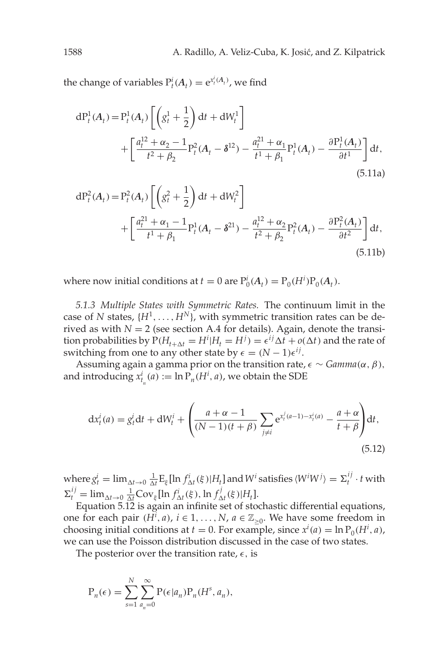the change of variables  $P_t^i(A_t) = e^{x_t^i(A_t)}$ , we find

$$
dP_t^1(A_t) = P_t^1(A_t) \left[ \left( g_t^1 + \frac{1}{2} \right) dt + dW_t^1 \right] + \left[ \frac{a_t^{12} + \alpha_2 - 1}{t^2 + \beta_2} P_t^2(A_t - \delta^{12}) - \frac{a_t^{21} + \alpha_1}{t^1 + \beta_1} P_t^1(A_t) - \frac{\partial P_t^1(A_t)}{\partial t^1} \right] dt,
$$
\n(5.11a)

$$
dP_t^2(A_t) = P_t^2(A_t) \left[ \left( g_t^2 + \frac{1}{2} \right) dt + dW_t^2 \right] + \left[ \frac{a_t^{21} + \alpha_1 - 1}{t^1 + \beta_1} P_t^1(A_t - \delta^{21}) - \frac{a_t^{12} + \alpha_2}{t^2 + \beta_2} P_t^2(A_t) - \frac{\partial P_t^2(A_t)}{\partial t^2} \right] dt,
$$
\n(5.11b)

where now initial conditions at  $t = 0$  are  $P_0^i(A_t) = P_0(H^i)P_0(A_t)$ .

*5.1.3 Multiple States with Symmetric Rates.* The continuum limit in the case of *N* states,  $\{H^1, \ldots, H^N\}$ , with symmetric transition rates can be derived as with  $N = 2$  (see section A.4 for details). Again, denote the transition probabilities by  $P(H_{t+\Delta t} = H^i | H_t = H^j) = \epsilon^{ij} \Delta t + o(\Delta t)$  and the rate of switching from one to any other state by  $\epsilon = (N - 1)\epsilon^{ij}$ .

Assuming again a gamma prior on the transition rate,  $\epsilon \sim \textit{Gamma}(\alpha, \beta)$ , and introducing  $x_{t_n}^i(a) := \ln P_n(H^i, a)$ , we obtain the SDE

$$
dx_t^i(a) = g_t^i dt + dW_t^i + \left(\frac{a+\alpha-1}{(N-1)(t+\beta)} \sum_{j \neq i} e^{x_t^j (a-1) - x_t^i(a)} - \frac{a+\alpha}{t+\beta}\right) dt,
$$
\n(5.12)

where  $g_t^i = \lim_{\Delta t \to 0} \frac{1}{\Delta t} E_{\xi}[\ln f_{\Delta t}^i(\xi)|H_t]$  and  $W^i$  satisfies  $\langle W^i W^j \rangle = \Sigma_t^{ij} \cdot t$  with  $\Sigma_t^{ij} = \lim_{\Delta t \to 0} \frac{1}{\Delta t} \text{Cov}_{\xi} [\ln f_{\Delta t}^i(\xi), \ln f_{\Delta t}^j(\xi) | H_t].$ 

Equation 5.12 is again an infinite set of stochastic differential equations, one for each pair  $(H^i, a)$ ,  $i \in 1, ..., N$ ,  $a \in \mathbb{Z}_{\geq 0}$ . We have some freedom in choosing initial conditions at *t* = 0. For example, since  $x^{i}(a) = \ln P_0(H^{i}, a)$ , we can use the Poisson distribution discussed in the case of two states.

The posterior over the transition rate,  $\epsilon$ , is

$$
P_n(\epsilon) = \sum_{s=1}^N \sum_{a_n=0}^\infty P(\epsilon|a_n) P_n(H^s, a_n),
$$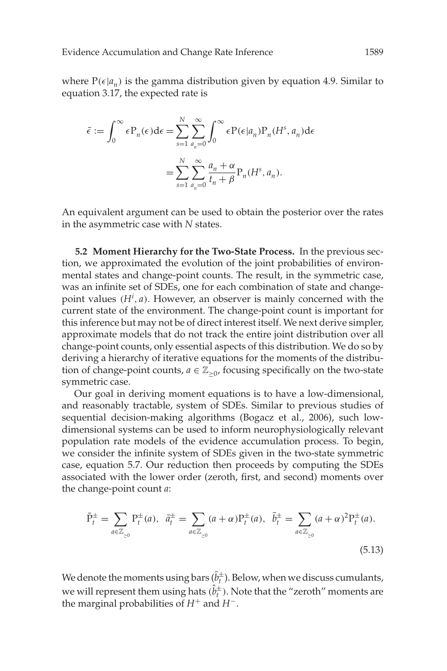where  $P(\epsilon | a_n)$  is the gamma distribution given by equation 4.9. Similar to equation 3.17, the expected rate is

$$
\bar{\epsilon} := \int_0^\infty \epsilon P_n(\epsilon) d\epsilon = \sum_{s=1}^N \sum_{a_n=0}^\infty \int_0^\infty \epsilon P(\epsilon | a_n) P_n(H^s, a_n) d\epsilon
$$

$$
= \sum_{s=1}^N \sum_{a_n=0}^\infty \frac{a_n + \alpha}{t_n + \beta} P_n(H^s, a_n).
$$

An equivalent argument can be used to obtain the posterior over the rates in the asymmetric case with *N* states.

**5.2 Moment Hierarchy for the Two-State Process.** In the previous section, we approximated the evolution of the joint probabilities of environmental states and change-point counts. The result, in the symmetric case, was an infinite set of SDEs, one for each combination of state and changepoint values ( $H^i$ , *a*). However, an observer is mainly concerned with the current state of the environment. The change-point count is important for this inference but may not be of direct interest itself. We next derive simpler, approximate models that do not track the entire joint distribution over all change-point counts, only essential aspects of this distribution. We do so by deriving a hierarchy of iterative equations for the moments of the distribution of change-point counts,  $a \in \mathbb{Z}_{\geq 0}$ , focusing specifically on the two-state symmetric case.

Our goal in deriving moment equations is to have a low-dimensional, and reasonably tractable, system of SDEs. Similar to previous studies of sequential decision-making algorithms (Bogacz et al., 2006), such lowdimensional systems can be used to inform neurophysiologically relevant population rate models of the evidence accumulation process. To begin, we consider the infinite system of SDEs given in the two-state symmetric case, equation 5.7. Our reduction then proceeds by computing the SDEs associated with the lower order (zeroth, first, and second) moments over the change-point count *a*:

$$
\bar{P}_t^{\pm} = \sum_{a \in \mathbb{Z}_{\ge 0}} P_t^{\pm}(a), \quad \bar{a}_t^{\pm} = \sum_{a \in \mathbb{Z}_{\ge 0}} (a + \alpha) P_t^{\pm}(a), \quad \bar{b}_t^{\pm} = \sum_{a \in \mathbb{Z}_{\ge 0}} (a + \alpha)^2 P_t^{\pm}(a).
$$
\n(5.13)

We denote the moments using bars  $(\bar{b}_t^{\pm})$ . Below, when we discuss cumulants, we will represent them using hats  $(\hat{b}^{\pm}_{t})$ . Note that the "zeroth" moments are the marginal probabilities of *H*<sup>+</sup> and *H*<sup>−</sup>.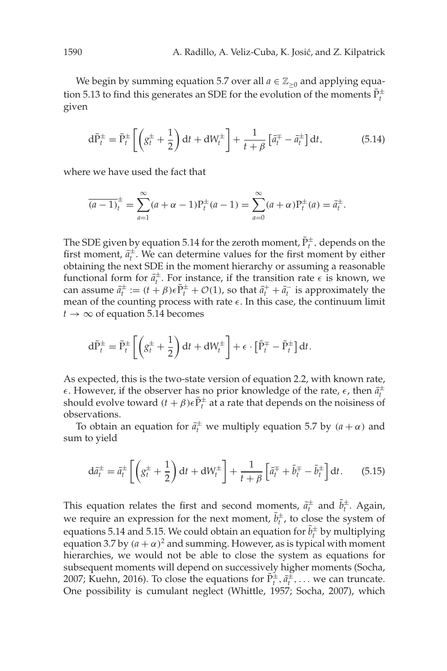We begin by summing equation 5.7 over all  $a \in \mathbb{Z}_{>0}$  and applying equation 5.13 to find this generates an SDE for the evolution of the moments  $\bar{P}_t^{\pm}$ given

$$
d\overline{P}_t^{\pm} = \overline{P}_t^{\pm} \left[ \left( g_t^{\pm} + \frac{1}{2} \right) dt + dW_t^{\pm} \right] + \frac{1}{t + \beta} \left[ \overline{a}_t^{\mp} - \overline{a}_t^{\pm} \right] dt, \tag{5.14}
$$

where we have used the fact that

$$
\overline{(a-1)}_t^{\pm} = \sum_{a=1}^{\infty} (a+\alpha-1) P_t^{\pm}(a-1) = \sum_{a=0}^{\infty} (a+\alpha) P_t^{\pm}(a) = \overline{a}_t^{\pm}.
$$

The SDE given by equation 5.14 for the zeroth moment,  $\bar{P}_{t}^{\pm}$ , depends on the first moment,  $\bar{a}_t^{\pm}$ . We can determine values for the first moment by either obtaining the next SDE in the moment hierarchy or assuming a reasonable functional form for  $\bar{a}_t^{\pm}$ . For instance, if the transition rate  $\epsilon$  is known, we can assume  $\bar{a}_t^{\pm} := (t + \beta)\epsilon \bar{P}_t^{\pm} + \mathcal{O}(1)$ , so that  $\bar{a}_t^+ + \bar{a}_t^-$  is approximately the mean of the counting process with rate  $\epsilon$ . In this case, the continuum limit  $t \rightarrow \infty$  of equation 5.14 becomes

$$
\mathrm{d}\bar{P}_t^{\pm} = \bar{P}_t^{\pm} \left[ \left( g_t^{\pm} + \frac{1}{2} \right) \mathrm{d}t + \mathrm{d}W_t^{\pm} \right] + \epsilon \cdot \left[ \bar{P}_t^{\mp} - \bar{P}_t^{\pm} \right] \mathrm{d}t.
$$

As expected, this is the two-state version of equation 2.2, with known rate,  $\epsilon$ . However, if the observer has no prior knowledge of the rate,  $\epsilon$ , then  $\bar{a}^{\pm}_{t}$ should evolve toward  $(t + \beta) \in \bar{P}_t^{\pm}$  at a rate that depends on the noisiness of observations.

To obtain an equation for  $\bar{a}^{\pm}$  we multiply equation 5.7 by  $(a + \alpha)$  and sum to yield

$$
\mathrm{d}\bar{a}_t^{\pm} = \bar{a}_t^{\pm} \left[ \left( g_t^{\pm} + \frac{1}{2} \right) \mathrm{d}t + \mathrm{d}W_t^{\pm} \right] + \frac{1}{t + \beta} \left[ \bar{a}_t^{\mp} + \bar{b}_t^{\mp} - \bar{b}_t^{\pm} \right] \mathrm{d}t. \tag{5.15}
$$

This equation relates the first and second moments,  $\bar{a}_t^{\pm}$  and  $\bar{b}_t^{\pm}$ . Again, we require an expression for the next moment,  $\overline{b}_t^{\pm}$ , to close the system of equations 5.14 and 5.15. We could obtain an equation for  $\bar{b}_t^{\pm}$  by multiplying equation 3.7 by  $(a + \alpha)^2$  and summing. However, as is typical with moment hierarchies, we would not be able to close the system as equations for subsequent moments will depend on successively higher moments (Socha, 2007; Kuehn, 2016). To close the equations for  $\overline{P}_t^{\pm}$ ,  $\overline{a}_t^{\pm}$ , ... we can truncate. One possibility is cumulant neglect (Whittle, 1957; Socha, 2007), which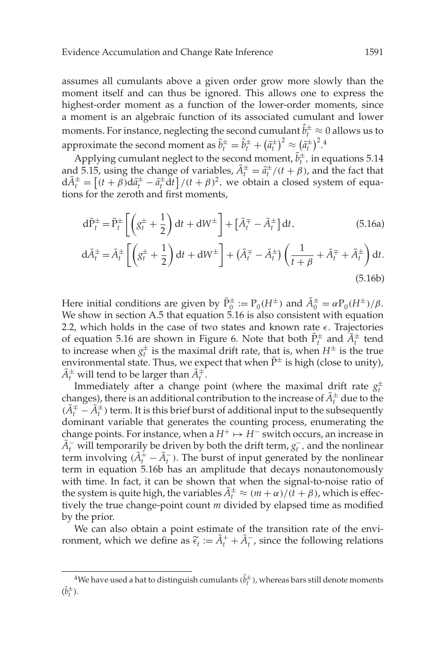assumes all cumulants above a given order grow more slowly than the moment itself and can thus be ignored. This allows one to express the highest-order moment as a function of the lower-order moments, since a moment is an algebraic function of its associated cumulant and lower moments. For instance, neglecting the second cumulant  $\hat{b}^{\pm}_{t} \approx 0$  allows us to approximate the second moment as  $\bar{b}_t^{\pm} = \hat{b}_t^{\pm} + \left(\bar{a}_t^{\pm}\right)^2 \approx \left(\bar{a}_t^{\pm}\right)^2$ .<sup>4</sup>

Applying cumulant neglect to the second moment,  $\bar{b}_t^{\pm}$ , in equations 5.14 and 5.15, using the change of variables,  $\bar{A}_t^{\pm} = \bar{a}_t^{\pm}/(t + \beta)$ , and the fact that  $d\bar{A}^{\pm}_{t} = \left[ (t + \beta) d\bar{a}^{\pm}_{t} - \bar{a}^{\pm}_{t} dt \right] / (t + \beta)^{2}$ , we obtain a closed system of equations for the zeroth and first moments,

$$
d\overline{P}_t^{\pm} = \overline{P}_t^{\pm} \left[ \left( g_t^{\pm} + \frac{1}{2} \right) dt + dW^{\pm} \right] + \left[ \overline{A}_t^{\mp} - \overline{A}_t^{\pm} \right] dt, \tag{5.16a}
$$

$$
d\overline{A}_t^{\pm} = \overline{A}_t^{\pm} \left[ \left( g_t^{\pm} + \frac{1}{2} \right) dt + dW^{\pm} \right] + \left( \overline{A}_t^{\mp} - \overline{A}_t^{\pm} \right) \left( \frac{1}{t + \beta} + \overline{A}_t^{\mp} + \overline{A}_t^{\pm} \right) dt.
$$
\n(5.16b)

Here initial conditions are given by  $\bar{P}_0^{\pm} := P_0(H^{\pm})$  and  $\bar{A}_0^{\pm} = \alpha P_0(H^{\pm})/\beta$ . We show in section A.5 that equation 5.16 is also consistent with equation 2.2, which holds in the case of two states and known rate  $\epsilon$ . Trajectories of equation 5.16 are shown in Figure 6. Note that both  $\bar{P}_t^{\pm}$  and  $\bar{A}_t^{\pm}$  tend to increase when  $g_t^{\pm}$  is the maximal drift rate, that is, when  $H^{\pm}$  is the true environmental state. Thus, we expect that when  $\bar{P}^{\pm}$  is high (close to unity),  $\bar{A}^\pm_t$  will tend to be larger than  $\bar{A}^\mp_t$ .

Immediately after a change point (where the maximal drift rate  $g_t^{\pm}$ changes), there is an additional contribution to the increase of  $\bar{A}_t^{\pm}$  due to the  $(\bar{A}_{t}^{\mp} - \bar{A}_{t}^{\pm})$  term. It is this brief burst of additional input to the subsequently dominant variable that generates the counting process, enumerating the change points. For instance, when a  $H^+ \mapsto H^-$  switch occurs, an increase in  $\bar{A}^-_t$  will temporarily be driven by both the drift term,  $g_t^-$ , and the nonlinear term involving  $(\bar{A}_t^+ - \bar{A}_t^-)$ . The burst of input generated by the nonlinear term in equation 5.16b has an amplitude that decays nonautonomously with time. In fact, it can be shown that when the signal-to-noise ratio of the system is quite high, the variables  $\bar{A}_t^{\pm} \approx (m + \alpha) / (\bar{t} + \beta)$ , which is effectively the true change-point count *m* divided by elapsed time as modified by the prior.

We can also obtain a point estimate of the transition rate of the environment, which we define as  $\tilde{\epsilon}_t := \bar{A}_t^+ + \bar{A}_t^-$ , since the following relations

 ${}^4$ We have used a hat to distinguish cumulants  $(\hat{b}_t^{\pm})$ , whereas bars still denote moments  $(\bar{b}_t^{\pm})$ .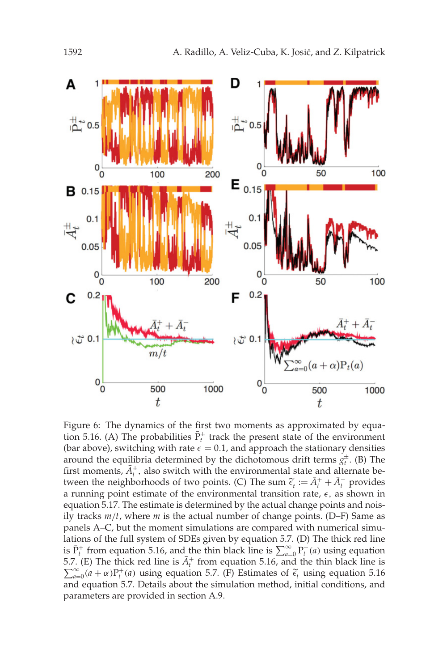

Figure 6: The dynamics of the first two moments as approximated by equation 5.16. (A) The probabilities  $\bar{P}_t^{\pm}$  track the present state of the environment (bar above), switching with rate  $\epsilon = 0.1$ , and approach the stationary densities around the equilibria determined by the dichotomous drift terms  $g_t^{\pm}$ . (B) The first moments,  $\bar{A}_{t}^{\pm}$ , also switch with the environmental state and alternate between the neighborhoods of two points. (C) The sum  $\tilde{\epsilon}_t := \tilde{A}_t^+ + \tilde{A}_t^-$  provides a running point estimate of the environmental transition rate,  $\epsilon$ , as shown in equation 5.17. The estimate is determined by the actual change points and noisily tracks *m*/*t*, where *m* is the actual number of change points. (D–F) Same as panels A–C, but the moment simulations are compared with numerical simulations of the full system of SDEs given by equation 5.7. (D) The thick red line is  $\bar{P}_t^+$  from equation 5.16, and the thin black line is  $\sum_{a=0}^{\infty} P_t^+(a)$  using equation 5.7. (E) The thick red line is  $\bar{A}^+$  from equation 5.16, and the thin black line is  $\sum_{n=1}^{\infty}$  (e)  $\sum_{n=1}^{\infty}$  (e)  $\sum_{n=1}^{\infty}$  (e)  $\sum_{n=1}^{\infty}$  (e)  $\sum_{n=1}^{\infty}$  (e)  $\sum_{n=1}^{\infty}$  $\sum_{a=0}^{\infty} (a + \alpha) P_t^+(a)$  using equation 5.7. (F) Estimates of  $\tilde{\epsilon}_t$  using equation 5.16 and equation 5.7. Details about the simulation method, initial conditions, and parameters are provided in section A.9.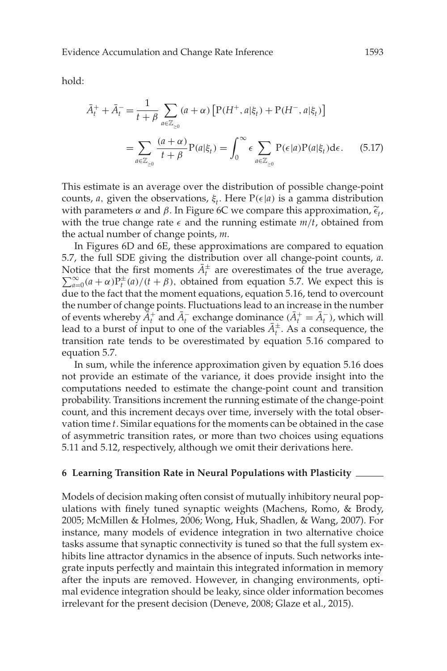hold:

$$
\bar{A}_t^+ + \bar{A}_t^- = \frac{1}{t + \beta} \sum_{a \in \mathbb{Z}_{\ge 0}} (a + \alpha) \left[ P(H^+, a | \xi_t) + P(H^-, a | \xi_t) \right]
$$

$$
= \sum_{a \in \mathbb{Z}_{\ge 0}} \frac{(a + \alpha)}{t + \beta} P(a | \xi_t) = \int_0^\infty \epsilon \sum_{a \in \mathbb{Z}_{\ge 0}} P(\epsilon | a) P(a | \xi_t) d\epsilon. \tag{5.17}
$$

This estimate is an average over the distribution of possible change-point counts, *a*, given the observations,  $\xi_t$ . Here  $P(\epsilon | a)$  is a gamma distribution with parameters  $\alpha$  and  $\beta$ . In Figure 6C we compare this approximation,  $\tilde{\epsilon}_t$ , with the true change rate  $\epsilon$  and the running estimate  $m/t$ , obtained from with the true change rate  $\epsilon$  and the running estimate  $m/t$ , obtained from the actual number of change points, *m*.

In Figures 6D and 6E, these approximations are compared to equation 5.7, the full SDE giving the distribution over all change-point counts, *a*. Notice that the first moments  $\bar{A}_{t}^{\pm}$  are overestimates of the true average,  $\sum_{k=1}^{\infty} (a + a) \bar{B}_{t}^{\pm}(a) / (t + \beta)$ , obtained from equation 5.7. We expect this is  $\sum_{a=0}^{\infty} (a + \alpha) P_t^{\pm}(a)/(t + \beta)$ , obtained from equation 5.7. We expect this is due to the fact that the moment equations, equation 5.16, tend to overcount the number of change points. Fluctuations lead to an increase in the number of events whereby  $\overline{A}_t^+$  and  $\overline{A}_t^-$  exchange dominance  $(\overline{A}_t^+ = \overline{A}_t^-)$ , which will lead to a burst of input to one of the variables  $\bar{A}_{t}^{\pm}$ . As a consequence, the transition rate tends to be overestimated by equation 5.16 compared to equation 5.7.

In sum, while the inference approximation given by equation 5.16 does not provide an estimate of the variance, it does provide insight into the computations needed to estimate the change-point count and transition probability. Transitions increment the running estimate of the change-point count, and this increment decays over time, inversely with the total observation time *t*. Similar equations for the moments can be obtained in the case of asymmetric transition rates, or more than two choices using equations 5.11 and 5.12, respectively, although we omit their derivations here.

#### **6 Learning Transition Rate in Neural Populations with Plasticity**

Models of decision making often consist of mutually inhibitory neural populations with finely tuned synaptic weights (Machens, Romo, & Brody, 2005; McMillen & Holmes, 2006; Wong, Huk, Shadlen, & Wang, 2007). For instance, many models of evidence integration in two alternative choice tasks assume that synaptic connectivity is tuned so that the full system exhibits line attractor dynamics in the absence of inputs. Such networks integrate inputs perfectly and maintain this integrated information in memory after the inputs are removed. However, in changing environments, optimal evidence integration should be leaky, since older information becomes irrelevant for the present decision (Deneve, 2008; Glaze et al., 2015).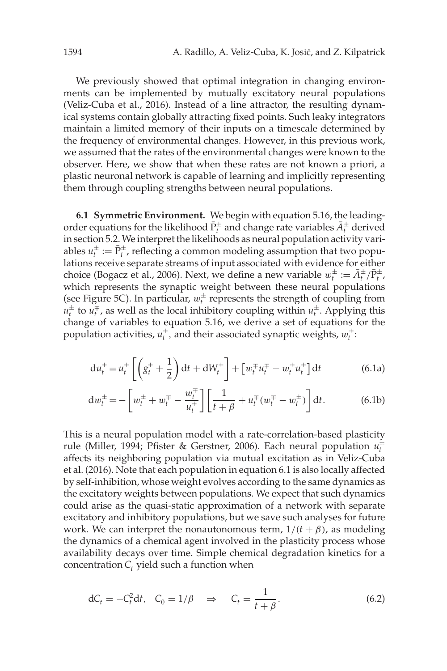We previously showed that optimal integration in changing environments can be implemented by mutually excitatory neural populations (Veliz-Cuba et al., 2016). Instead of a line attractor, the resulting dynamical systems contain globally attracting fixed points. Such leaky integrators maintain a limited memory of their inputs on a timescale determined by the frequency of environmental changes. However, in this previous work, we assumed that the rates of the environmental changes were known to the observer. Here, we show that when these rates are not known a priori, a plastic neuronal network is capable of learning and implicitly representing them through coupling strengths between neural populations.

**6.1 Symmetric Environment.** We begin with equation 5.16, the leadingorder equations for the likelihood  $\bar{P}_t^{\pm}$  and change rate variables  $\bar{A}_t^{\pm}$  derived in section 5.2. We interpret the likelihoods as neural population activity variables  $u_t^{\pm} := \bar{P}_t^{\pm}$ , reflecting a common modeling assumption that two populations receive separate streams of input associated with evidence for either choice (Bogacz et al., 2006). Next, we define a new variable  $w_t^{\pm} := \bar{A}_t^{\pm}/\bar{P}_t^{\pm}$ , which represents the synaptic weight between these neural populations (see Figure 5C). In particular,  $w_t^{\pm}$  represents the strength of coupling from  $u_t^{\pm}$  to  $u_t^{\mp}$ , as well as the local inhibitory coupling within  $u_t^{\pm}$ . Applying this change of variables to equation 5.16, we derive a set of equations for the population activities,  $u_t^{\pm}$ , and their associated synaptic weights,  $w_t^{\pm}$ :

$$
du_t^{\pm} = u_t^{\pm} \left[ \left( g_t^{\pm} + \frac{1}{2} \right) dt + dW_t^{\pm} \right] + \left[ w_t^{\mp} u_t^{\mp} - w_t^{\pm} u_t^{\pm} \right] dt \tag{6.1a}
$$

$$
dw_t^{\pm} = -\left[w_t^{\pm} + w_t^{\mp} - \frac{w_t^{\mp}}{u_t^{\pm}}\right] \left[\frac{1}{t+\beta} + u_t^{\mp}(w_t^{\mp} - w_t^{\pm})\right] dt.
$$
 (6.1b)

This is a neural population model with a rate-correlation-based plasticity rule (Miller, 1994; Pfister & Gerstner, 2006). Each neural population  $u_t^{\pm}$ affects its neighboring population via mutual excitation as in Veliz-Cuba et al. (2016). Note that each population in equation 6.1 is also locally affected by self-inhibition, whose weight evolves according to the same dynamics as the excitatory weights between populations. We expect that such dynamics could arise as the quasi-static approximation of a network with separate excitatory and inhibitory populations, but we save such analyses for future work. We can interpret the nonautonomous term,  $1/(t + \beta)$ , as modeling the dynamics of a chemical agent involved in the plasticity process whose availability decays over time. Simple chemical degradation kinetics for a concentration  $C_t$ , yield such a function when

$$
dC_t = -C_t^2 dt, \quad C_0 = 1/\beta \quad \Rightarrow \quad C_t = \frac{1}{t+\beta}.
$$
\n
$$
(6.2)
$$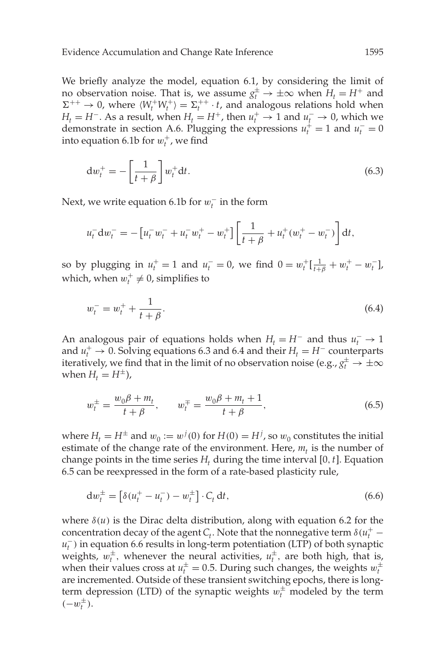We briefly analyze the model, equation 6.1, by considering the limit of no observation noise. That is, we assume  $g_t^{\pm} \rightarrow \pm \infty$  when  $H_t = H^+$  and  $\Sigma^{++} \to 0$ , where  $\langle W_t^+ W_t^+ \rangle = \Sigma_t^{++} \cdot t$ , and analogous relations hold when *H*<sub>t</sub> = *H*<sup>−</sup>. As a result, when *H*<sub>t</sub> = *H*<sup>+</sup>, then  $u_t^+$  → 1 and  $u_t^-$  → 0, which we demonstrate in section A.6. Plugging the expressions  $u_t^+ = 1$  and  $u_t^- = 0$ into equation 6.1b for  $w_t^+$ , we find

$$
\mathrm{d}w_t^+ = -\left[\frac{1}{t+\beta}\right]w_t^+\mathrm{d}t.\tag{6.3}
$$

Next, we write equation 6.1b for  $w_t^-$  in the form

$$
u_t^- \, \mathrm{d}w_t^- = -\left[ u_t^- \, w_t^- + u_t^- \, w_t^+ - w_t^+ \right] \left[ \frac{1}{t+\beta} + u_t^+ \, (w_t^+ - w_t^-) \right] \mathrm{d}t,
$$

so by plugging in  $u_t^+ = 1$  and  $u_t^- = 0$ , we find  $0 = w_t^+[\frac{1}{t+\beta} + w_t^+ - w_t^-]$ , which, when  $w_t^+ \neq 0$ , simplifies to

$$
w_t^- = w_t^+ + \frac{1}{t + \beta}.\tag{6.4}
$$

An analogous pair of equations holds when  $H_t = H^-$  and thus  $u_t^- \to 1$ and  $u_t^+ \to 0$ . Solving equations 6.3 and 6.4 and their  $H_t = H^-$  counterparts iteratively, we find that in the limit of no observation noise (e.g.,  $g_t^{\pm} \rightarrow \pm \infty$ when  $H_t = H^{\pm}$ ),

$$
w_t^{\pm} = \frac{w_0 \beta + m_t}{t + \beta}, \qquad w_t^{\mp} = \frac{w_0 \beta + m_t + 1}{t + \beta}, \tag{6.5}
$$

where  $H_t = H^{\pm}$  and  $w_0 := w^j(0)$  for  $H(0) = H^j$ , so  $w_0$  constitutes the initial estimate of the change rate of the environment. Here,  $m_t$  is the number of change points in the time series  $H_t$  during the time interval [0,  $t$ ]. Equation 6.5 can be reexpressed in the form of a rate-based plasticity rule,

$$
dw_t^{\pm} = \left[\delta(u_t^+ - u_t^-) - w_t^{\pm}\right] \cdot C_t dt,
$$
\n(6.6)

where  $\delta(u)$  is the Dirac delta distribution, along with equation 6.2 for the concentration decay of the agent  $C_t$ . Note that the nonnegative term  $\delta(u_t^+$ *u*<sup>−</sup></sup>) in equation 6.6 results in long-term potentiation (LTP) of both synaptic weights,  $w_t^{\pm}$ , whenever the neural activities,  $u_t^{\pm}$ , are both high, that is, when their values cross at  $u_t^{\pm} = 0.5$ . During such changes, the weights  $w_t^{\pm}$ are incremented. Outside of these transient switching epochs, there is longterm depression (LTD) of the synaptic weights  $w_t^{\pm}$  modeled by the term  $(-w_t^{\pm})$ .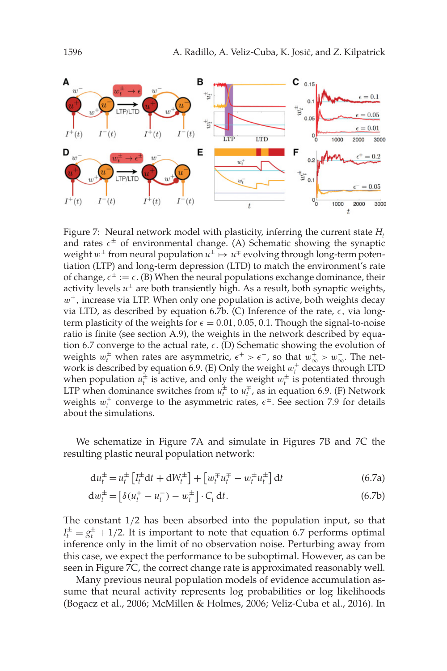

Figure 7: Neural network model with plasticity, inferring the current state *Ht* and rates  $\epsilon^{\pm}$  of environmental change. (A) Schematic showing the synaptic weight  $w^{\pm}$  from neural population  $u^{\pm} \mapsto u^{\mp}$  evolving through long-term potentiation (LTP) and long-term depression (LTD) to match the environment's rate of change,  $\epsilon^{\pm} := \epsilon$ . (B) When the neural populations exchange dominance, their activity levels  $u^{\pm}$  are both transiently high. As a result, both synaptic weights,  $w^{\pm}$ , increase via LTP. When only one population is active, both weights decay via LTD, as described by equation 6.7b. (C) Inference of the rate,  $\epsilon$ , via longterm plasticity of the weights for  $\epsilon = 0.01, 0.05, 0.1$ . Though the signal-to-noise ratio is finite (see section A.9), the weights in the network described by equation 6.7 converge to the actual rate,  $\epsilon$ . (D) Schematic showing the evolution of weights  $w_t^{\pm}$  when rates are asymmetric,  $\epsilon^+ > \epsilon^-$ , so that  $w_{\infty}^+ > w_{\infty}^-$ . The network is described by equation 6.9. (E) Only the weight  $w_t^{\pm}$  decays through LTD when population  $u_t^{\pm}$  is active, and only the weight  $w_t^{\pm}$  is potentiated through LTP when dominance switches from  $u_t^{\pm}$  to  $u_t^{\mp}$ , as in equation 6.9. (F) Network weights  $w_t^{\pm}$  converge to the asymmetric rates,  $\epsilon^{\pm}$ . See section 7.9 for details about the simulations.

We schematize in Figure 7A and simulate in Figures 7B and 7C the resulting plastic neural population network:

$$
du_t^{\pm} = u_t^{\pm} \left[ I_t^{\pm} dt + dW_t^{\pm} \right] + \left[ w_t^{\mp} u_t^{\mp} - w_t^{\pm} u_t^{\pm} \right] dt \tag{6.7a}
$$

$$
dw_t^{\pm} = \left[\delta(u_t^+ - u_t^-) - w_t^{\pm}\right] \cdot C_t dt.
$$
 (6.7b)

The constant 1/2 has been absorbed into the population input, so that  $I_t^{\pm} = g_t^{\pm} + 1/2$ . It is important to note that equation 6.7 performs optimal inference only in the limit of no observation noise. Perturbing away from this case, we expect the performance to be suboptimal. However, as can be seen in Figure 7C, the correct change rate is approximated reasonably well.

Many previous neural population models of evidence accumulation assume that neural activity represents log probabilities or log likelihoods (Bogacz et al., 2006; McMillen & Holmes, 2006; Veliz-Cuba et al., 2016). In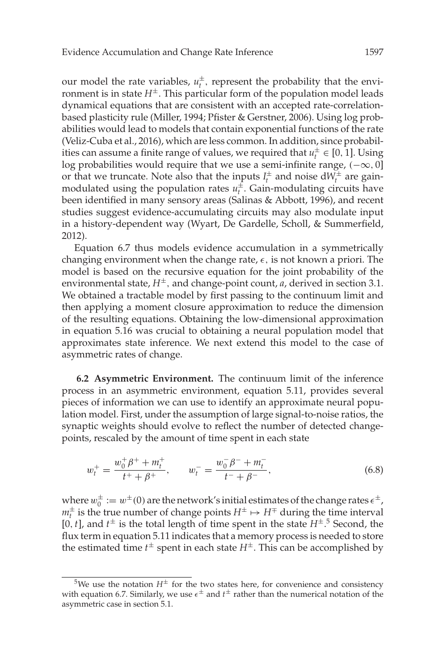our model the rate variables,  $u_t^{\pm}$ , represent the probability that the environment is in state  $H^{\pm}$ . This particular form of the population model leads dynamical equations that are consistent with an accepted rate-correlationbased plasticity rule (Miller, 1994; Pfister & Gerstner, 2006). Using log probabilities would lead to models that contain exponential functions of the rate (Veliz-Cuba et al., 2016), which are less common. In addition, since probabilities can assume a finite range of values, we required that  $u_t^{\pm} \in [0, 1]$ . Using log probabilities would require that we use a semi-infinite range, (−∞, 0] or that we truncate. Note also that the inputs  $I_t^{\pm}$  and noise  $dW_t^{\pm}$  are gainmodulated using the population rates  $u_t^{\pm}$ . Gain-modulating circuits have been identified in many sensory areas (Salinas & Abbott, 1996), and recent studies suggest evidence-accumulating circuits may also modulate input in a history-dependent way (Wyart, De Gardelle, Scholl, & Summerfield, 2012).

Equation 6.7 thus models evidence accumulation in a symmetrically changing environment when the change rate,  $\epsilon$ , is not known a priori. The model is based on the recursive equation for the joint probability of the environmental state,  $H^{\pm}$ , and change-point count, *a*, derived in section 3.1. We obtained a tractable model by first passing to the continuum limit and then applying a moment closure approximation to reduce the dimension of the resulting equations. Obtaining the low-dimensional approximation in equation 5.16 was crucial to obtaining a neural population model that approximates state inference. We next extend this model to the case of asymmetric rates of change.

**6.2 Asymmetric Environment.** The continuum limit of the inference process in an asymmetric environment, equation 5.11, provides several pieces of information we can use to identify an approximate neural population model. First, under the assumption of large signal-to-noise ratios, the synaptic weights should evolve to reflect the number of detected changepoints, rescaled by the amount of time spent in each state

$$
w_t^+ = \frac{w_0^+ \beta^+ + m_t^+}{t^+ + \beta^+}, \qquad w_t^- = \frac{w_0^- \beta^- + m_t^-}{t^- + \beta^-}, \tag{6.8}
$$

where  $w_0^{\pm} := w^{\pm}(0)$  are the network's initial estimates of the change rates  $\epsilon^{\pm}$ ,  $m_t^{\pm}$  is the true number of change points  $H^{\pm} \mapsto H^{\mp}$  during the time interval  $[0, t]$ , and  $t^{\pm}$  is the total length of time spent in the state  $H^{\pm}$ .<sup>5</sup> Second, the flux term in equation 5.11 indicates that a memory process is needed to store the estimated time  $t^{\pm}$  spent in each state  $H^{\pm}$ . This can be accomplished by

 $5$ We use the notation  $H^{\pm}$  for the two states here, for convenience and consistency with equation 6.7. Similarly, we use  $\epsilon^{\pm}$  and  $t^{\pm}$  rather than the numerical notation of the asymmetric case in section 5.1.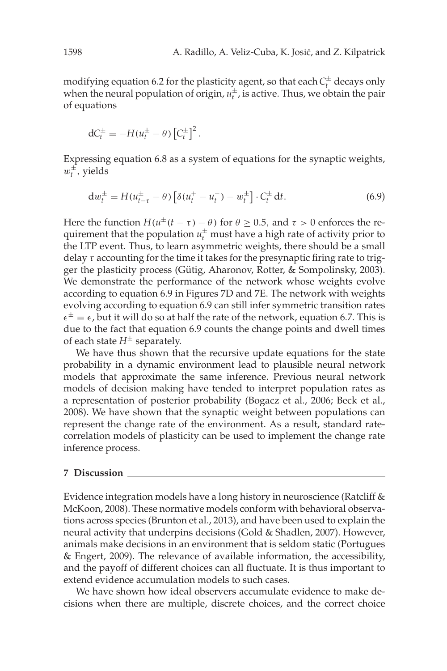modifying equation 6.2 for the plasticity agent, so that each  $C_t^{\pm}$  decays only when the neural population of origin,  $u_t^{\pm}$ , is active. Thus, we obtain the pair of equations

$$
dC_t^{\pm} = -H(u_t^{\pm} - \theta) [C_t^{\pm}]^2.
$$

Expressing equation 6.8 as a system of equations for the synaptic weights,  $w_t^{\pm}$ , yields

$$
dw_t^{\pm} = H(u_{t-\tau}^{\pm} - \theta) \left[ \delta(u_t^+ - u_t^-) - w_t^{\pm} \right] \cdot C_t^{\pm} dt. \tag{6.9}
$$

Here the function  $H(u^{\pm}(t-\tau) - \theta)$  for  $\theta \ge 0.5$ , and  $\tau > 0$  enforces the requirement that the population  $u_t^{\pm}$  must have a high rate of activity prior to the LTP event. Thus, to learn asymmetric weights, there should be a small delay  $\tau$  accounting for the time it takes for the presynaptic firing rate to trigger the plasticity process (Gütig, Aharonov, Rotter, & Sompolinsky, 2003). We demonstrate the performance of the network whose weights evolve according to equation 6.9 in Figures 7D and 7E. The network with weights evolving according to equation 6.9 can still infer symmetric transition rates  $\epsilon^{\pm} = \epsilon$ , but it will do so at half the rate of the network, equation 6.7. This is due to the fact that equation 6.9 counts the change points and dwell times of each state  $H^{\pm}$  separately.

We have thus shown that the recursive update equations for the state probability in a dynamic environment lead to plausible neural network models that approximate the same inference. Previous neural network models of decision making have tended to interpret population rates as a representation of posterior probability (Bogacz et al., 2006; Beck et al., 2008). We have shown that the synaptic weight between populations can represent the change rate of the environment. As a result, standard ratecorrelation models of plasticity can be used to implement the change rate inference process.

#### **7 Discussion**

Evidence integration models have a long history in neuroscience (Ratcliff & McKoon, 2008). These normative models conform with behavioral observations across species (Brunton et al., 2013), and have been used to explain the neural activity that underpins decisions (Gold & Shadlen, 2007). However, animals make decisions in an environment that is seldom static (Portugues & Engert, 2009). The relevance of available information, the accessibility, and the payoff of different choices can all fluctuate. It is thus important to extend evidence accumulation models to such cases.

We have shown how ideal observers accumulate evidence to make decisions when there are multiple, discrete choices, and the correct choice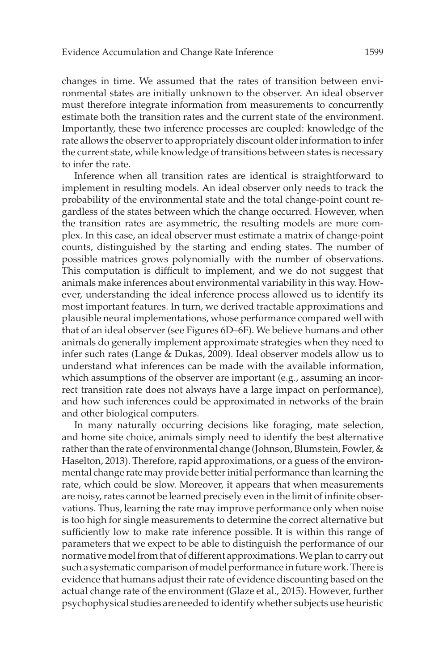changes in time. We assumed that the rates of transition between environmental states are initially unknown to the observer. An ideal observer must therefore integrate information from measurements to concurrently estimate both the transition rates and the current state of the environment. Importantly, these two inference processes are coupled: knowledge of the rate allows the observer to appropriately discount older information to infer the current state, while knowledge of transitions between states is necessary to infer the rate.

Inference when all transition rates are identical is straightforward to implement in resulting models. An ideal observer only needs to track the probability of the environmental state and the total change-point count regardless of the states between which the change occurred. However, when the transition rates are asymmetric, the resulting models are more complex. In this case, an ideal observer must estimate a matrix of change-point counts, distinguished by the starting and ending states. The number of possible matrices grows polynomially with the number of observations. This computation is difficult to implement, and we do not suggest that animals make inferences about environmental variability in this way. However, understanding the ideal inference process allowed us to identify its most important features. In turn, we derived tractable approximations and plausible neural implementations, whose performance compared well with that of an ideal observer (see Figures 6D–6F). We believe humans and other animals do generally implement approximate strategies when they need to infer such rates (Lange & Dukas, 2009). Ideal observer models allow us to understand what inferences can be made with the available information, which assumptions of the observer are important (e.g., assuming an incorrect transition rate does not always have a large impact on performance), and how such inferences could be approximated in networks of the brain and other biological computers.

In many naturally occurring decisions like foraging, mate selection, and home site choice, animals simply need to identify the best alternative rather than the rate of environmental change (Johnson, Blumstein, Fowler, & Haselton, 2013). Therefore, rapid approximations, or a guess of the environmental change rate may provide better initial performance than learning the rate, which could be slow. Moreover, it appears that when measurements are noisy, rates cannot be learned precisely even in the limit of infinite observations. Thus, learning the rate may improve performance only when noise is too high for single measurements to determine the correct alternative but sufficiently low to make rate inference possible. It is within this range of parameters that we expect to be able to distinguish the performance of our normative model from that of different approximations. We plan to carry out such a systematic comparison of model performance in future work. There is evidence that humans adjust their rate of evidence discounting based on the actual change rate of the environment (Glaze et al., 2015). However, further psychophysical studies are needed to identify whether subjects use heuristic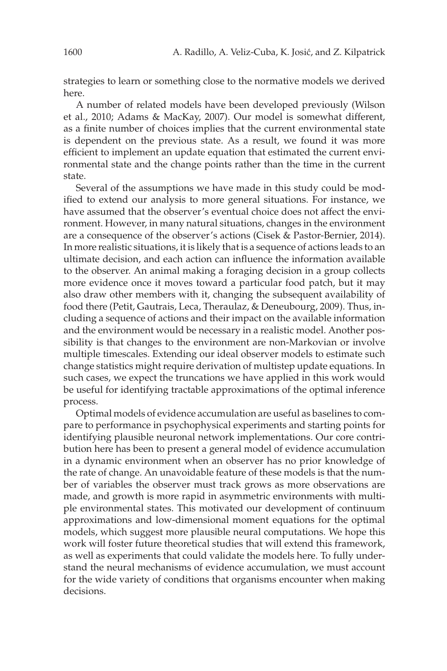strategies to learn or something close to the normative models we derived here.

A number of related models have been developed previously (Wilson et al., 2010; Adams & MacKay, 2007). Our model is somewhat different, as a finite number of choices implies that the current environmental state is dependent on the previous state. As a result, we found it was more efficient to implement an update equation that estimated the current environmental state and the change points rather than the time in the current state.

Several of the assumptions we have made in this study could be modified to extend our analysis to more general situations. For instance, we have assumed that the observer's eventual choice does not affect the environment. However, in many natural situations, changes in the environment are a consequence of the observer's actions (Cisek & Pastor-Bernier, 2014). In more realistic situations, it is likely that is a sequence of actions leads to an ultimate decision, and each action can influence the information available to the observer. An animal making a foraging decision in a group collects more evidence once it moves toward a particular food patch, but it may also draw other members with it, changing the subsequent availability of food there (Petit, Gautrais, Leca, Theraulaz, & Deneubourg, 2009). Thus, including a sequence of actions and their impact on the available information and the environment would be necessary in a realistic model. Another possibility is that changes to the environment are non-Markovian or involve multiple timescales. Extending our ideal observer models to estimate such change statistics might require derivation of multistep update equations. In such cases, we expect the truncations we have applied in this work would be useful for identifying tractable approximations of the optimal inference process.

Optimal models of evidence accumulation are useful as baselines to compare to performance in psychophysical experiments and starting points for identifying plausible neuronal network implementations. Our core contribution here has been to present a general model of evidence accumulation in a dynamic environment when an observer has no prior knowledge of the rate of change. An unavoidable feature of these models is that the number of variables the observer must track grows as more observations are made, and growth is more rapid in asymmetric environments with multiple environmental states. This motivated our development of continuum approximations and low-dimensional moment equations for the optimal models, which suggest more plausible neural computations. We hope this work will foster future theoretical studies that will extend this framework, as well as experiments that could validate the models here. To fully understand the neural mechanisms of evidence accumulation, we must account for the wide variety of conditions that organisms encounter when making decisions.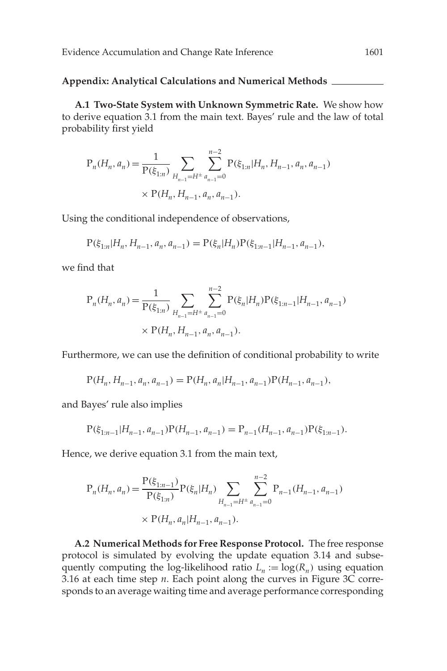#### **Appendix: Analytical Calculations and Numerical Methods**

**A.1 Two-State System with Unknown Symmetric Rate.** We show how to derive equation 3.1 from the main text. Bayes' rule and the law of total probability first yield

$$
P_n(H_n, a_n) = \frac{1}{P(\xi_{1:n})} \sum_{H_{n-1} = H^{\pm}} \sum_{a_{n-1} = 0}^{n-2} P(\xi_{1:n}|H_n, H_{n-1}, a_n, a_{n-1})
$$
  
× P(H\_n, H\_{n-1}, a\_n, a\_{n-1}).

Using the conditional independence of observations,

$$
\mathbf{P}(\xi_{1:n}|H_n,H_{n-1},a_n,a_{n-1})=\mathbf{P}(\xi_n|H_n)\mathbf{P}(\xi_{1:n-1}|H_{n-1},a_{n-1}),
$$

we find that

$$
P_n(H_n, a_n) = \frac{1}{P(\xi_{1:n})} \sum_{H_{n-1} = H^{\pm}} \sum_{a_{n-1} = 0}^{n-2} P(\xi_n | H_n) P(\xi_{1:n-1} | H_{n-1}, a_{n-1})
$$
  
× P(H\_n, H\_{n-1}, a\_n, a\_{n-1}).

Furthermore, we can use the definition of conditional probability to write

$$
P(H_n, H_{n-1}, a_n, a_{n-1}) = P(H_n, a_n | H_{n-1}, a_{n-1}) P(H_{n-1}, a_{n-1}),
$$

and Bayes' rule also implies

$$
P(\xi_{1:n-1}|H_{n-1}, a_{n-1})P(H_{n-1}, a_{n-1}) = P_{n-1}(H_{n-1}, a_{n-1})P(\xi_{1:n-1}).
$$

Hence, we derive equation 3.1 from the main text,

$$
P_n(H_n, a_n) = \frac{P(\xi_{1:n-1})}{P(\xi_{1:n})} P(\xi_n | H_n) \sum_{H_{n-1} = H^{\pm}} \sum_{a_{n-1} = 0}^{n-2} P_{n-1}(H_{n-1}, a_{n-1})
$$
  
× P(H\_n, a\_n | H\_{n-1}, a\_{n-1}).

**A.2 Numerical Methods for Free Response Protocol.** The free response protocol is simulated by evolving the update equation 3.14 and subsequently computing the log-likelihood ratio  $L_n := \log(R_n)$  using equation 3.16 at each time step *n*. Each point along the curves in Figure 3C corresponds to an average waiting time and average performance corresponding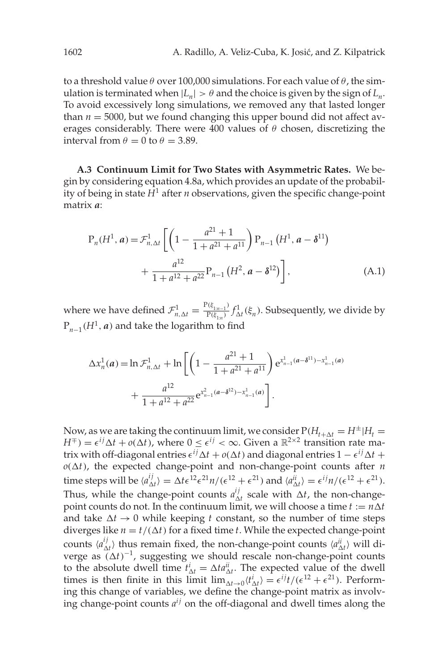to a threshold value  $\theta$  over 100,000 simulations. For each value of  $\theta$ , the simulation is terminated when  $|L_n| > \theta$  and the choice is given by the sign of  $L_n$ . To avoid excessively long simulations, we removed any that lasted longer than  $n = 5000$ , but we found changing this upper bound did not affect averages considerably. There were 400 values of  $\theta$  chosen, discretizing the interval from  $\theta = 0$  to  $\theta = 3.89$ .

**A.3 Continuum Limit for Two States with Asymmetric Rates.** We begin by considering equation 4.8a, which provides an update of the probability of being in state  $H^1$  after *n* observations, given the specific change-point matrix *a*:

$$
P_n(H^1, a) = \mathcal{F}_{n, \Delta t}^1 \left[ \left( 1 - \frac{a^{21} + 1}{1 + a^{21} + a^{11}} \right) P_{n-1} \left( H^1, a - \delta^{11} \right) + \frac{a^{12}}{1 + a^{12} + a^{22}} P_{n-1} \left( H^2, a - \delta^{12} \right) \right],
$$
\n(A.1)

where we have defined  $\mathcal{F}^1_{n,\Delta t} = \frac{P(\xi_{1:n-1})}{P(\xi_{1:n})} f^1_{\Delta t}(\xi_n)$ . Subsequently, we divide by  $P_{n-1}(H^1, a)$  and take the logarithm to find

$$
\Delta x_n^1(a) = \ln \mathcal{F}_{n,\Delta t}^1 + \ln \left[ \left( 1 - \frac{a^{21} + 1}{1 + a^{21} + a^{11}} \right) e^{x_{n-1}^1(a - \delta^{11}) - x_{n-1}^1(a)} + \frac{a^{12}}{1 + a^{12} + a^{22}} e^{x_{n-1}^2(a - \delta^{12}) - x_{n-1}^1(a)} \right].
$$

Now, as we are taking the continuum limit, we consider  $P(H_{t+\Delta t} = H^{\pm}|H_t =$ *H*<sup>∓</sup>) =  $\epsilon^{ij}\Delta t$  + *o*( $\Delta t$ ), where 0 ≤  $\epsilon^{ij}$  < ∞. Given a  $\mathbb{R}^{2\times 2}$  transition rate matrix with off-diagonal entries  $\epsilon^{ij} \Delta t + o(\Delta t)$  and diagonal entries  $1 - \epsilon^{ij} \Delta t +$  $o(\Delta t)$ , the expected change-point and non-change-point counts after *n* time steps will be  $\langle a_{\Delta t}^{ij} \rangle = \Delta t \epsilon^{12} \epsilon^{21} n / (\epsilon^{12} + \epsilon^{21})$  and  $\langle a_{\Delta t}^{ii} \rangle = \epsilon^{ij} n / (\epsilon^{12} + \epsilon^{21})$ . Thus, while the change-point counts  $a_{\Delta t}^{ij}$  scale with  $\Delta t$ , the non-changepoint counts do not. In the continuum limit, we will choose a time  $t := n\Delta t$ and take  $\Delta t \rightarrow 0$  while keeping *t* constant, so the number of time steps diverges like  $n = t/(\Delta t)$  for a fixed time *t*. While the expected change-point counts  $\langle a_{\Delta t}^{ij} \rangle$  thus remain fixed, the non-change-point counts  $\langle a_{\Delta t}^{ii} \rangle$  will diverge as  $(t-t)^{-1}$ , suggesting we should rescale non-change-point counts to the absolute dwell time  $t^i_{\Delta t} = \Delta t a^i_{\Delta t}$ . The expected value of the dwell times is then finite in this limit  $\lim_{\Delta t \to 0} \langle t_{\Delta t}^i \rangle = \epsilon^{ij} t / (\epsilon^{12} + \epsilon^{21})$ . Performing this change of variables, we define the change-point matrix as involving change-point counts  $a^{ij}$  on the off-diagonal and dwell times along the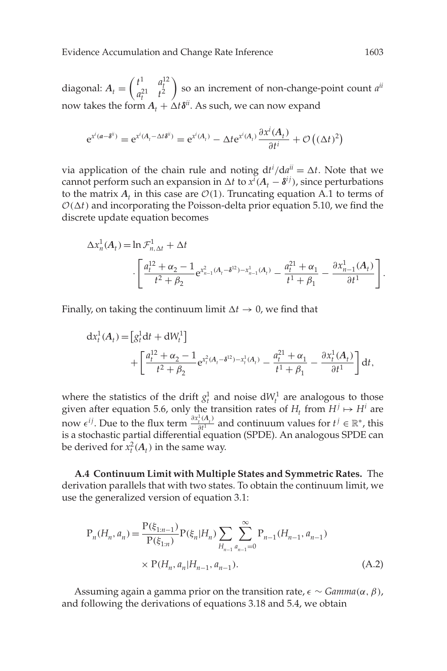diagonal:  $A_t = \begin{pmatrix} t^1 & a_t^{12} \\ a_t^{21} & t^2 \end{pmatrix}$  $\big)$  so an increment of non-change-point count  $a^{ii}$ now takes the form  $A_t + \Delta t \delta^{ii}$ . As such, we can now expand

$$
e^{x^i(a-\delta^{ii})} = e^{x^i(A_t-\Delta t \delta^{ii})} = e^{x^i(A_t)} - \Delta t e^{x^i(A_t)} \frac{\partial x^i(A_t)}{\partial t^i} + \mathcal{O}\left((\Delta t)^2\right)
$$

via application of the chain rule and noting  $dt^{i}/da^{ii} = \Delta t$ . Note that we cannot perform such an expansion in  $\Delta t$  to  $x^{i}(A_{t} - \delta^{ij})$ , since perturbations to the matrix  $A_t$  in this case are  $\mathcal{O}(1)$ . Truncating equation A.1 to terms of  $\mathcal{O}(\Delta t)$  and incorporating the Poisson-delta prior equation 5.10, we find the discrete update equation becomes

$$
\Delta x_n^1(A_t) = \ln \mathcal{F}_{n,\Delta t}^1 + \Delta t
$$

$$
\cdot \left[ \frac{a_t^{12} + \alpha_2 - 1}{t^2 + \beta_2} e^{x_{n-1}^2 (A_t - \delta^{12}) - x_{n-1}^1 (A_t)} - \frac{a_t^{21} + \alpha_1}{t^1 + \beta_1} - \frac{\partial x_{n-1}^1 (A_t)}{\partial t^1} \right].
$$

Finally, on taking the continuum limit  $\Delta t \rightarrow 0$ , we find that

$$
dx_t^1(A_t) = [g_t^1 dt + dW_t^1] + \left[ \frac{a_t^{12} + \alpha_2 - 1}{t^2 + \beta_2} e^{x_t^2 (A_t - \delta^{12}) - x_t^1(A_t)} - \frac{a_t^{21} + \alpha_1}{t^1 + \beta_1} - \frac{\partial x_t^1(A_t)}{\partial t^1} \right] dt,
$$

where the statistics of the drift  $g_t^1$  and noise  $dW_t^1$  are analogous to those given after equation 5.6, only the transition rates of  $H_t$  from  $H^j \mapsto H^i$  are now  $\epsilon^{ij}$ . Due to the flux term  $\frac{\partial x_i^1(A_t)}{\partial t^1}$  and continuum values for  $t^j \in \mathbb{R}^*$ , this is a stochastic partial differential equation (SPDE). An analogous SPDE can be derived for  $x_t^2(A_t)$  in the same way.

**A.4 Continuum Limit with Multiple States and Symmetric Rates.** The derivation parallels that with two states. To obtain the continuum limit, we use the generalized version of equation 3.1:

$$
P_n(H_n, a_n) = \frac{P(\xi_{1:n-1})}{P(\xi_{1:n})} P(\xi_n | H_n) \sum_{H_{n-1}} \sum_{a_{n-1}=0}^{\infty} P_{n-1}(H_{n-1}, a_{n-1})
$$
  
× P(H\_n, a\_n | H\_{n-1}, a\_{n-1}). (A.2)

Assuming again a gamma prior on the transition rate,  $\epsilon \sim \textit{Gamma}(\alpha, \beta)$ , and following the derivations of equations 3.18 and 5.4, we obtain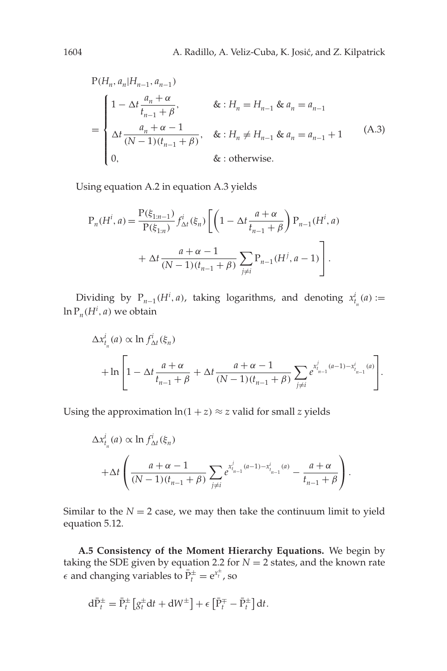$$
P(H_n, a_n | H_{n-1}, a_{n-1})
$$
\n
$$
= \begin{cases}\n1 - \Delta t \frac{a_n + \alpha}{t_{n-1} + \beta}, & \& H_n = H_{n-1} \& a_n = a_{n-1} \\
\Delta t \frac{a_n + \alpha - 1}{(N-1)(t_{n-1} + \beta)}, & \& H_n \neq H_{n-1} \& a_n = a_{n-1} + 1 \\
0, & \& \text{: otherwise.} \n\end{cases}
$$
\n(A.3)

Using equation A.2 in equation A.3 yields

$$
P_n(H^i, a) = \frac{P(\xi_{1:n-1})}{P(\xi_{1:n})} f^i_{\Delta t}(\xi_n) \left[ \left( 1 - \Delta t \frac{a + \alpha}{t_{n-1} + \beta} \right) P_{n-1}(H^i, a) + \Delta t \frac{a + \alpha - 1}{(N-1)(t_{n-1} + \beta)} \sum_{j \neq i} P_{n-1}(H^j, a - 1) \right].
$$

Dividing by  $P_{n-1}(H^i, a)$ , taking logarithms, and denoting  $x^i_{t_n}(a) :=$  $\ln P_n(H^i, a)$  we obtain

$$
\Delta x_{t_n}^i(a) \propto \ln f_{\Delta t}^i(\xi_n) + \ln \left[ 1 - \Delta t \frac{a + \alpha}{t_{n-1} + \beta} + \Delta t \frac{a + \alpha - 1}{(N-1)(t_{n-1} + \beta)} \sum_{j \neq i} e^{x_{n-1}^i (a-1) - x_{n-1}^i (a)} \right].
$$

Using the approximation  $ln(1 + z) \approx z$  valid for small *z* yields

$$
\Delta x_{t_n}^i(a) \propto \ln f_{\Delta t}^i(\xi_n)
$$
  
+ 
$$
\Delta t \left( \frac{a + \alpha - 1}{(N - 1)(t_{n-1} + \beta)} \sum_{j \neq i} e^{x_{t_{n-1}}^i (a - 1) - x_{t_{n-1}}^i (a)} - \frac{a + \alpha}{t_{n-1} + \beta} \right)
$$

⎠ .

Similar to the  $N = 2$  case, we may then take the continuum limit to yield equation 5.12.

**A.5 Consistency of the Moment Hierarchy Equations.** We begin by taking the SDE given by equation 2.2 for  $N = 2$  states, and the known rate  $\epsilon$  and changing variables to  $\bar{P}_t^{\pm} = e^{x_t^{\pm}}$ , so

$$
\mathrm{d}\bar{\mathrm{P}}_t^\pm = \bar{\mathrm{P}}_t^\pm \left[ g_t^\pm \mathrm{d}t + \mathrm{d}W^\pm \right] + \epsilon \left[ \bar{\mathrm{P}}_t^\mp - \bar{\mathrm{P}}_t^\pm \right] \mathrm{d}t.
$$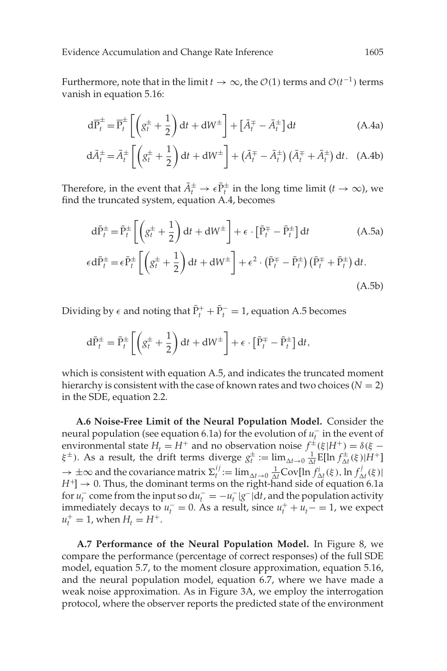Furthermore, note that in the limit *t*  $\rightarrow \infty$ , the  $\mathcal{O}(1)$  terms and  $\mathcal{O}(t^{-1})$  terms vanish in equation 5.16:

$$
d\overline{P}_t^{\pm} = \overline{P}_t^{\pm} \left[ \left( g_t^{\pm} + \frac{1}{2} \right) dt + dW^{\pm} \right] + \left[ \overline{A}_t^{\mp} - \overline{A}_t^{\pm} \right] dt \tag{A.4a}
$$

$$
d\overline{A}_t^{\pm} = \overline{A}_t^{\pm} \left[ \left( g_t^{\pm} + \frac{1}{2} \right) dt + dW^{\pm} \right] + \left( \overline{A}_t^{\mp} - \overline{A}_t^{\pm} \right) \left( \overline{A}_t^{\mp} + \overline{A}_t^{\pm} \right) dt. \quad (A.4b)
$$

Therefore, in the event that  $\bar{A}_t^{\pm} \to \epsilon \bar{P}_t^{\pm}$  in the long time limit  $(t \to \infty)$ , we find the truncated system, equation A.4, becomes

$$
d\overline{P}_t^{\pm} = \overline{P}_t^{\pm} \left[ \left( g_t^{\pm} + \frac{1}{2} \right) dt + dW^{\pm} \right] + \epsilon \cdot \left[ \overline{P}_t^{\mp} - \overline{P}_t^{\pm} \right] dt \qquad (A.5a)
$$
  

$$
\epsilon d\overline{P}_t^{\pm} = \epsilon \overline{P}_t^{\pm} \left[ \left( g_t^{\pm} + \frac{1}{2} \right) dt + dW^{\pm} \right] + \epsilon^2 \cdot \left( \overline{P}_t^{\mp} - \overline{P}_t^{\pm} \right) \left( \overline{P}_t^{\mp} + \overline{P}_t^{\pm} \right) dt.
$$
  
(A.5b)

Dividing by  $\epsilon$  and noting that  $\bar{P}_t^+ + \bar{P}_t^- = 1$ , equation A.5 becomes

$$
d\overline{P}_t^{\pm} = \overline{P}_t^{\pm} \left[ \left( g_t^{\pm} + \frac{1}{2} \right) dt + dW^{\pm} \right] + \epsilon \cdot \left[ \overline{P}_t^{\mp} - \overline{P}_t^{\pm} \right] dt,
$$

which is consistent with equation A.5, and indicates the truncated moment hierarchy is consistent with the case of known rates and two choices  $(N = 2)$ in the SDE, equation 2.2.

**A.6 Noise-Free Limit of the Neural Population Model.** Consider the neural population (see equation 6.1a) for the evolution of  $u_t^-$  in the event of environmental state  $H_t = H^+$  and no observation noise  $f^{\pm}(\xi|H^+) = \delta(\xi \xi^{\pm}$ ). As a result, the drift terms diverge  $g_t^{\pm} := \lim_{\Delta t \to 0} \frac{1}{\Delta t} E[\ln f_{\Delta t}^{\pm}(\xi)|H^+]$  $\rightarrow \pm \infty$  and the covariance matrix  $\Sigma_t^{ij} := \lim_{\Delta t \to 0} \frac{1}{\Delta t} \text{Cov}[\ln f_{\Delta t}^i(\xi), \ln f_{\Delta t}^j(\xi)]$  $H^+$ ]  $\rightarrow$  0. Thus, the dominant terms on the right-hand side of equation 6.1a for  $u_t^-$  come from the input so  $du_t^- = -u_t^- |g^-| dt$ , and the population activity immediately decays to  $u_t$ <sup>*τ*</sup> = 0. As a result, since  $u_t$ <sup>+</sup> +  $u_t$ − = 1, we expect  $u_t^+ = 1$ , when  $H_t = H^+$ .

**A.7 Performance of the Neural Population Model.** In Figure 8, we compare the performance (percentage of correct responses) of the full SDE model, equation 5.7, to the moment closure approximation, equation 5.16, and the neural population model, equation 6.7, where we have made a weak noise approximation. As in Figure 3A, we employ the interrogation protocol, where the observer reports the predicted state of the environment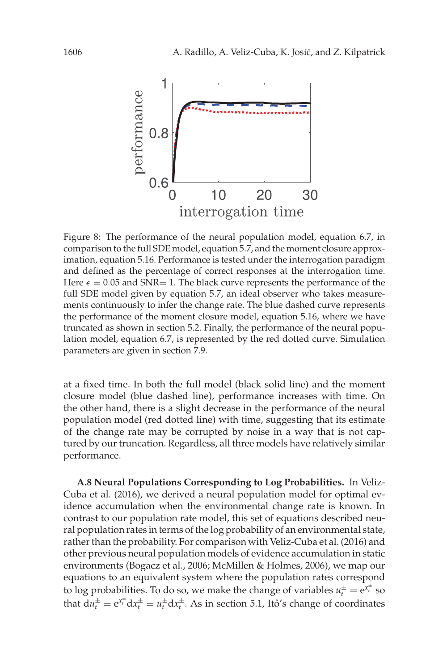

Figure 8: The performance of the neural population model, equation 6.7, in comparison to the full SDE model, equation 5.7, and the moment closure approximation, equation 5.16. Performance is tested under the interrogation paradigm and defined as the percentage of correct responses at the interrogation time. Here  $\epsilon = 0.05$  and SNR= 1. The black curve represents the performance of the full SDE model given by equation 5.7, an ideal observer who takes measurements continuously to infer the change rate. The blue dashed curve represents the performance of the moment closure model, equation 5.16, where we have truncated as shown in section 5.2. Finally, the performance of the neural population model, equation 6.7, is represented by the red dotted curve. Simulation parameters are given in section 7.9.

at a fixed time. In both the full model (black solid line) and the moment closure model (blue dashed line), performance increases with time. On the other hand, there is a slight decrease in the performance of the neural population model (red dotted line) with time, suggesting that its estimate of the change rate may be corrupted by noise in a way that is not captured by our truncation. Regardless, all three models have relatively similar performance.

**A.8 Neural Populations Corresponding to Log Probabilities.** In Veliz-Cuba et al. (2016), we derived a neural population model for optimal evidence accumulation when the environmental change rate is known. In contrast to our population rate model, this set of equations described neural population rates in terms of the log probability of an environmental state, rather than the probability. For comparison with Veliz-Cuba et al. (2016) and other previous neural population models of evidence accumulation in static environments (Bogacz et al., 2006; McMillen & Holmes, 2006), we map our equations to an equivalent system where the population rates correspond to log probabilities. To do so, we make the change of variables  $u_t^{\pm} = e^{x_t^{\pm}}$  so that  $du_t^{\pm} = e^{x_t^{\pm}} dx_t^{\pm} = u_t^{\pm} dx_t^{\pm}$ . As in section 5.1, Itô's change of coordinates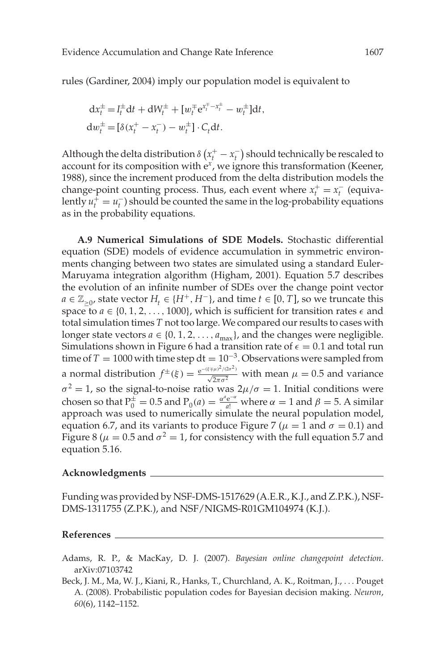rules (Gardiner, 2004) imply our population model is equivalent to

$$
dx_t^{\pm} = I_t^{\pm} dt + dW_t^{\pm} + [w_t^{\mp} e^{x_t^{\mp} - x_t^{\pm}} - w_t^{\pm}] dt,
$$
  
\n
$$
dw_t^{\pm} = [\delta(x_t^+ - x_t^-) - w_t^{\pm}] \cdot C_t dt.
$$

Although the delta distribution  $\delta (x_t^+ - x_t^-)$  should technically be rescaled to account for its composition with e*<sup>x</sup>*, we ignore this transformation (Keener, 1988), since the increment produced from the delta distribution models the change-point counting process. Thus, each event where  $x_t^+ = x_t^-$  (equivalently  $u_t^+ = u_t^-$  ) should be counted the same in the log-probability equations as in the probability equations.

**A.9 Numerical Simulations of SDE Models.** Stochastic differential equation (SDE) models of evidence accumulation in symmetric environments changing between two states are simulated using a standard Euler-Maruyama integration algorithm (Higham, 2001). Equation 5.7 describes the evolution of an infinite number of SDEs over the change point vector *a* ∈  $\mathbb{Z}_{>0}$ , state vector  $H_t$  ∈ { $H^+$ ,  $H^-$ }, and time  $t$  ∈ [0, *T*], so we truncate this space to  $a \in \{0, 1, 2, \ldots, 1000\}$ , which is sufficient for transition rates  $\epsilon$  and total simulation times *T* not too large. We compared our results to cases with longer state vectors  $a \in \{0, 1, 2, \ldots, a_{\text{max}}\}$ , and the changes were negligible. Simulations shown in Figure 6 had a transition rate of  $\epsilon = 0.1$  and total run time of  $T = 1000$  with time step dt =  $10^{-3}$ . Observations were sampled from a normal distribution  $f^{\pm}(\xi) = \frac{e^{-(\xi \mp \mu)^2/(2\sigma^2)}}{\sqrt{2\pi\sigma^2}}$  with mean  $\mu = 0.5$  and variance  $\sigma^2 = 1$ , so the signal-to-noise ratio was  $2\mu/\sigma = 1$ . Initial conditions were chosen so that  $P_0^{\pm} = 0.5$  and  $P_0(a) = \frac{\alpha^a e^{-\alpha}}{a!}$  where  $\alpha = 1$  and  $\beta = 5$ . A similar approach was used to numerically simulate the neural population model, equation 6.7, and its variants to produce Figure 7 ( $\mu = 1$  and  $\sigma = 0.1$ ) and Figure 8 ( $\mu = 0.5$  and  $\sigma^2 = 1$ , for consistency with the full equation 5.7 and equation 5.16.

#### **Acknowledgments**

Funding was provided by NSF-DMS-1517629 (A.E.R., K.J., and Z.P.K.), NSF-DMS-1311755 (Z.P.K.), and NSF/NIGMS-R01GM104974 (K.J.).

#### **References**

- Adams, R. P., & MacKay, D. J. (2007). *Bayesian online changepoint detection*. arXiv:07103742
- Beck, J. M., Ma, W. J., Kiani, R., Hanks, T., Churchland, A. K., Roitman, J., ... Pouget A. (2008). Probabilistic population codes for Bayesian decision making. *Neuron*, *60*(6), 1142–1152.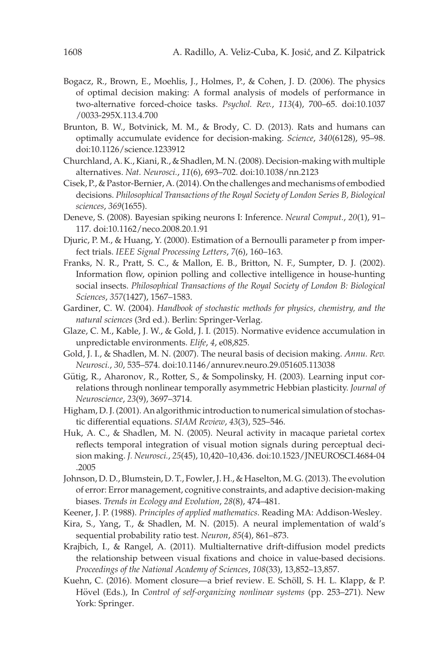- Bogacz, R., Brown, E., Moehlis, J., Holmes, P., & Cohen, J. D. (2006). The physics of optimal decision making: A formal analysis of models of performance in two-alternative forced-choice tasks. *Psychol. Rev.*, *113*(4), 700–65. doi[:10.1037](http://dx.doi.org/10.1037/0033-295X.113.4.700) [/0033-295X.113.4.700](http://dx.doi.org/10.1037/0033-295X.113.4.700)
- Brunton, B. W., Botvinick, M. M., & Brody, C. D. (2013). Rats and humans can optimally accumulate evidence for decision-making. *Science*, *340*(6128), 95–98. doi[:10.1126/science.1233912](http://dx.doi.org/10.1126/science.1233912)
- Churchland, A. K., Kiani, R., & Shadlen, M. N. (2008). Decision-making with multiple alternatives. *Nat. Neurosci.*, *11*(6), 693–702. doi[:10.1038/nn.2123](http://dx.doi.org/10.1038/nn.2123)
- Cisek, P., & Pastor-Bernier, A. (2014). On the challenges and mechanisms of embodied decisions. *Philosophical Transactions of the Royal Society of London Series B, Biological sciences*, *369*(1655).
- Deneve, S. (2008). Bayesian spiking neurons I: Inference. *Neural Comput.*, *20*(1), 91– 117. doi[:10.1162/neco.2008.20.1.91](http://dx.doi.org/10.1162/neco.2008.20.1.91)
- Djuric, P. M., & Huang, Y. (2000). Estimation of a Bernoulli parameter p from imperfect trials. *IEEE Signal Processing Letters*, *7*(6), 160–163.
- Franks, N. R., Pratt, S. C., & Mallon, E. B., Britton, N. F., Sumpter, D. J. (2002). Information flow, opinion polling and collective intelligence in house-hunting social insects. *Philosophical Transactions of the Royal Society of London B: Biological Sciences*, *357*(1427), 1567–1583.
- Gardiner, C. W. (2004). *Handbook of stochastic methods for physics, chemistry, and the natural sciences* (3rd ed.). Berlin: Springer-Verlag.
- Glaze, C. M., Kable, J. W., & Gold, J. I. (2015). Normative evidence accumulation in unpredictable environments. *Elife*, *4*, e08,825.
- Gold, J. I., & Shadlen, M. N. (2007). The neural basis of decision making. *Annu. Rev. Neurosci.*, *30*, 535–574. doi[:10.1146/annurev.neuro.29.051605.113038](http://dx.doi.org/10.1146/annurev.neuro.29.051605.113038)
- Gütig, R., Aharonov, R., Rotter, S., & Sompolinsky, H. (2003). Learning input correlations through nonlinear temporally asymmetric Hebbian plasticity. *Journal of Neuroscience*, *23*(9), 3697–3714.
- Higham, D. J. (2001). An algorithmic introduction to numerical simulation of stochastic differential equations. *SIAM Review*, *43*(3), 525–546.
- Huk, A. C., & Shadlen, M. N. (2005). Neural activity in macaque parietal cortex reflects temporal integration of visual motion signals during perceptual decision making. *J. Neurosci.*, *25*(45), 10,420–10,436. doi[:10.1523/JNEUROSCI.4684-04](http://dx.doi.org/10.1523/JNEUROSCI.4684-04.2005) [.2005](http://dx.doi.org/10.1523/JNEUROSCI.4684-04.2005)
- Johnson, D. D., Blumstein, D. T., Fowler, J. H., & Haselton, M. G. (2013). The evolution of error: Error management, cognitive constraints, and adaptive decision-making biases. *Trends in Ecology and Evolution*, *28*(8), 474–481.
- Keener, J. P. (1988). *Principles of applied mathematics*. Reading MA: Addison-Wesley.
- Kira, S., Yang, T., & Shadlen, M. N. (2015). A neural implementation of wald's sequential probability ratio test. *Neuron*, *85*(4), 861–873.
- Krajbich, I., & Rangel, A. (2011). Multialternative drift-diffusion model predicts the relationship between visual fixations and choice in value-based decisions. *Proceedings of the National Academy of Sciences*, *108*(33), 13,852–13,857.
- Kuehn, C. (2016). Moment closure—a brief review. E. Schöll, S. H. L. Klapp, & P. Hövel (Eds.), In Control of self-organizing nonlinear systems (pp. 253–271). New York: Springer.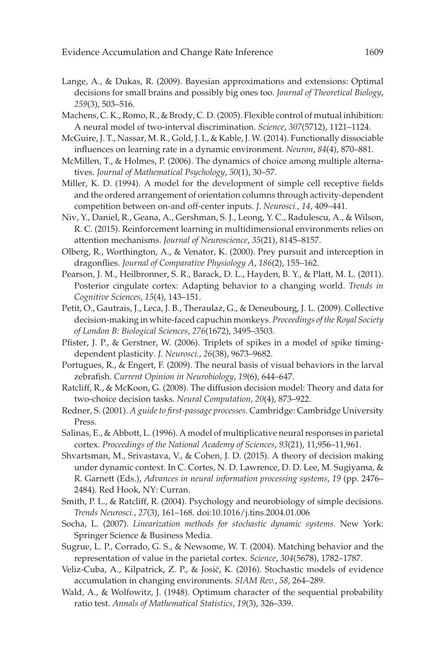- Lange, A., & Dukas, R. (2009). Bayesian approximations and extensions: Optimal decisions for small brains and possibly big ones too. *Journal of Theoretical Biology*, *259*(3), 503–516.
- Machens, C. K., Romo, R., & Brody, C. D. (2005). Flexible control of mutual inhibition: A neural model of two-interval discrimination. *Science*, *307*(5712), 1121–1124.
- McGuire, J. T., Nassar, M. R., Gold, J. I., & Kable, J. W. (2014). Functionally dissociable influences on learning rate in a dynamic environment. *Neuron*, *84*(4), 870–881.
- McMillen, T., & Holmes, P. (2006). The dynamics of choice among multiple alternatives. *Journal of Mathematical Psychology*, *50*(1), 30–57.
- Miller, K. D. (1994). A model for the development of simple cell receptive fields and the ordered arrangement of orientation columns through activity-dependent competition between on-and off-center inputs. *J. Neurosci.*, *14*, 409–441.
- Niv, Y., Daniel, R., Geana, A., Gershman, S. J., Leong, Y. C., Radulescu, A., & Wilson, R. C. (2015). Reinforcement learning in multidimensional environments relies on attention mechanisms. *Journal of Neuroscience*, *35*(21), 8145–8157.
- Olberg, R., Worthington, A., & Venator, K. (2000). Prey pursuit and interception in dragonflies. *Journal of Comparative Physiology A*, *186*(2), 155–162.
- Pearson, J. M., Heilbronner, S. R., Barack, D. L., Hayden, B. Y., & Platt, M. L. (2011). Posterior cingulate cortex: Adapting behavior to a changing world. *Trends in Cognitive Sciences*, *15*(4), 143–151.
- Petit, O., Gautrais, J., Leca, J. B., Theraulaz, G., & Deneubourg, J. L. (2009). Collective decision-making in white-faced capuchin monkeys. *Proceedings of the Royal Society of London B: Biological Sciences*, *276*(1672), 3495–3503.
- Pfister, J. P., & Gerstner, W. (2006). Triplets of spikes in a model of spike timingdependent plasticity. *J. Neurosci.*, *26*(38), 9673–9682.
- Portugues, R., & Engert, F. (2009). The neural basis of visual behaviors in the larval zebrafish. *Current Opinion in Neurobiology*, *19*(6), 644–647.
- Ratcliff, R., & McKoon, G. (2008). The diffusion decision model: Theory and data for two-choice decision tasks. *Neural Computation*, *20*(4), 873–922.
- Redner, S. (2001). *A guide to first-passage processes*. Cambridge: Cambridge University Press.
- Salinas, E., & Abbott, L. (1996). A model of multiplicative neural responses in parietal cortex. *Proceedings of the National Academy of Sciences*, *93*(21), 11,956–11,961.
- Shvartsman, M., Srivastava, V., & Cohen, J. D. (2015). A theory of decision making under dynamic context. In C. Cortes, N. D. Lawrence, D. D. Lee, M. Sugiyama, & R. Garnett (Eds.), *Advances in neural information processing systems*, *19* (pp. 2476– 2484). Red Hook, NY: Curran.
- Smith, P. L., & Ratcliff, R. (2004). Psychology and neurobiology of simple decisions. *Trends Neurosci.*, *27*(3), 161–168. doi[:10.1016/j.tins.2004.01.006](http://dx.doi.org/10.1016/j.tins.2004.01.006)
- Socha, L. (2007). *Linearization methods for stochastic dynamic systems.* New York: Springer Science & Business Media.
- Sugrue, L. P., Corrado, G. S., & Newsome, W. T. (2004). Matching behavior and the representation of value in the parietal cortex. *Science*, *304*(5678), 1782–1787.
- Veliz-Cuba, A., Kilpatrick, Z. P., & Josic, K. (2016). Stochastic models of evidence ´ accumulation in changing environments. *SIAM Rev.*, *58*, 264–289.
- Wald, A., & Wolfowitz, J. (1948). Optimum character of the sequential probability ratio test. *Annals of Mathematical Statistics*, *19*(3), 326–339.